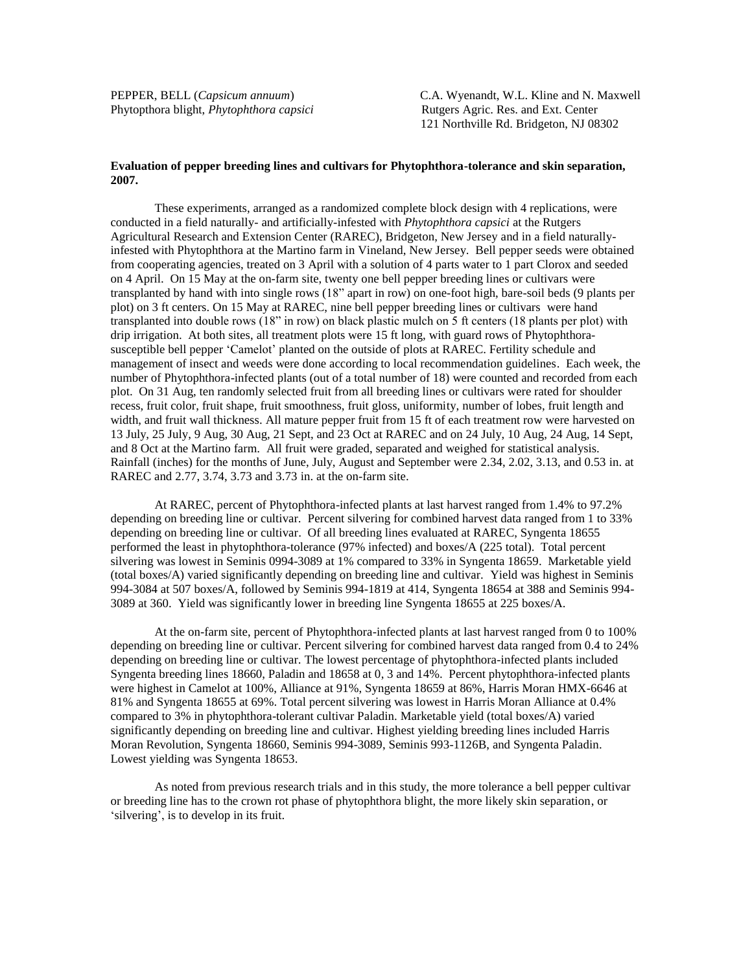Phytopthora blight, *Phytophthora capsici* Rutgers Agric. Res. and Ext. Center

PEPPER, BELL (*Capsicum annuum*) C.A. Wyenandt, W.L. Kline and N. Maxwell 121 Northville Rd. Bridgeton, NJ 08302

## **Evaluation of pepper breeding lines and cultivars for Phytophthora-tolerance and skin separation, 2007.**

These experiments, arranged as a randomized complete block design with 4 replications, were conducted in a field naturally- and artificially-infested with *Phytophthora capsici* at the Rutgers Agricultural Research and Extension Center (RAREC), Bridgeton, New Jersey and in a field naturallyinfested with Phytophthora at the Martino farm in Vineland, New Jersey. Bell pepper seeds were obtained from cooperating agencies, treated on 3 April with a solution of 4 parts water to 1 part Clorox and seeded on 4 April. On 15 May at the on-farm site, twenty one bell pepper breeding lines or cultivars were transplanted by hand with into single rows (18" apart in row) on one-foot high, bare-soil beds (9 plants per plot) on 3 ft centers. On 15 May at RAREC, nine bell pepper breeding lines or cultivars were hand transplanted into double rows (18" in row) on black plastic mulch on 5 ft centers (18 plants per plot) with drip irrigation. At both sites, all treatment plots were 15 ft long, with guard rows of Phytophthorasusceptible bell pepper 'Camelot' planted on the outside of plots at RAREC. Fertility schedule and management of insect and weeds were done according to local recommendation guidelines. Each week, the number of Phytophthora-infected plants (out of a total number of 18) were counted and recorded from each plot. On 31 Aug, ten randomly selected fruit from all breeding lines or cultivars were rated for shoulder recess, fruit color, fruit shape, fruit smoothness, fruit gloss, uniformity, number of lobes, fruit length and width, and fruit wall thickness. All mature pepper fruit from 15 ft of each treatment row were harvested on 13 July, 25 July, 9 Aug, 30 Aug, 21 Sept, and 23 Oct at RAREC and on 24 July, 10 Aug, 24 Aug, 14 Sept, and 8 Oct at the Martino farm. All fruit were graded, separated and weighed for statistical analysis. Rainfall (inches) for the months of June, July, August and September were 2.34, 2.02, 3.13, and 0.53 in. at RAREC and 2.77, 3.74, 3.73 and 3.73 in. at the on-farm site.

At RAREC, percent of Phytophthora-infected plants at last harvest ranged from 1.4% to 97.2% depending on breeding line or cultivar. Percent silvering for combined harvest data ranged from 1 to 33% depending on breeding line or cultivar. Of all breeding lines evaluated at RAREC, Syngenta 18655 performed the least in phytophthora-tolerance (97% infected) and boxes/A (225 total). Total percent silvering was lowest in Seminis 0994-3089 at 1% compared to 33% in Syngenta 18659. Marketable yield (total boxes/A) varied significantly depending on breeding line and cultivar. Yield was highest in Seminis 994-3084 at 507 boxes/A, followed by Seminis 994-1819 at 414, Syngenta 18654 at 388 and Seminis 994- 3089 at 360. Yield was significantly lower in breeding line Syngenta 18655 at 225 boxes/A.

At the on-farm site, percent of Phytophthora-infected plants at last harvest ranged from 0 to 100% depending on breeding line or cultivar. Percent silvering for combined harvest data ranged from 0.4 to 24% depending on breeding line or cultivar. The lowest percentage of phytophthora-infected plants included Syngenta breeding lines 18660, Paladin and 18658 at 0, 3 and 14%. Percent phytophthora-infected plants were highest in Camelot at 100%, Alliance at 91%, Syngenta 18659 at 86%, Harris Moran HMX-6646 at 81% and Syngenta 18655 at 69%. Total percent silvering was lowest in Harris Moran Alliance at 0.4% compared to 3% in phytophthora-tolerant cultivar Paladin. Marketable yield (total boxes/A) varied significantly depending on breeding line and cultivar. Highest yielding breeding lines included Harris Moran Revolution, Syngenta 18660, Seminis 994-3089, Seminis 993-1126B, and Syngenta Paladin. Lowest yielding was Syngenta 18653.

As noted from previous research trials and in this study, the more tolerance a bell pepper cultivar or breeding line has to the crown rot phase of phytophthora blight, the more likely skin separation, or 'silvering', is to develop in its fruit.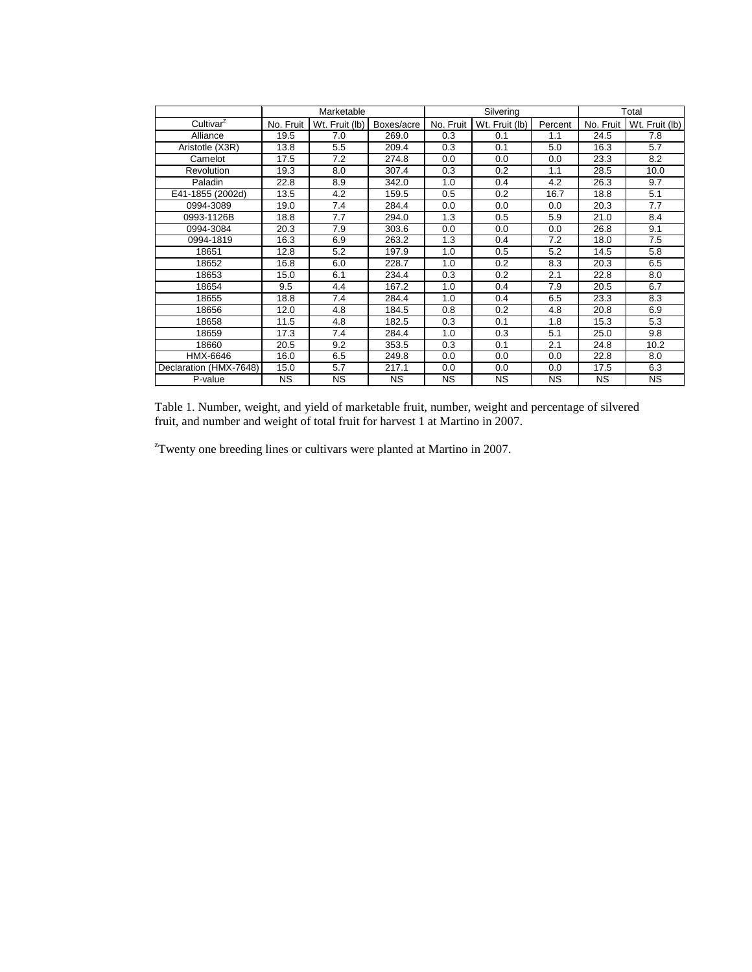|                        |           | Marketable     |            |           | Silvering      | Total     |           |                |
|------------------------|-----------|----------------|------------|-----------|----------------|-----------|-----------|----------------|
| Cultivar <sup>2</sup>  | No. Fruit | Wt. Fruit (lb) | Boxes/acre | No. Fruit | Wt. Fruit (lb) | Percent   | No. Fruit | Wt. Fruit (lb) |
| Alliance               | 19.5      | 7.0            | 269.0      | 0.3       | 0.1            | 1.1       | 24.5      | 7.8            |
| Aristotle (X3R)        | 13.8      | 5.5            | 209.4      | 0.3       | 0.1            | 5.0       | 16.3      | 5.7            |
| Camelot                | 17.5      | 7.2            | 274.8      | 0.0       | 0.0            | 0.0       | 23.3      | 8.2            |
| Revolution             | 19.3      | 8.0            | 307.4      | 0.3       | 0.2            | 1.1       | 28.5      | 10.0           |
| Paladin                | 22.8      | 8.9            | 342.0      | 1.0       | 0.4            | 4.2       | 26.3      | 9.7            |
| E41-1855 (2002d)       | 13.5      | 4.2            | 159.5      | 0.5       | 0.2            | 16.7      | 18.8      | 5.1            |
| 0994-3089              | 19.0      | 7.4            | 284.4      | 0.0       | 0.0            | 0.0       | 20.3      | 7.7            |
| 0993-1126B             | 18.8      | 7.7            | 294.0      | 1.3       | 0.5            | 5.9       | 21.0      | 8.4            |
| 0994-3084              | 20.3      | 7.9            | 303.6      | 0.0       | 0.0            | 0.0       | 26.8      | 9.1            |
| 0994-1819              | 16.3      | 6.9            | 263.2      | 1.3       | 0.4            | 7.2       | 18.0      | 7.5            |
| 18651                  | 12.8      | 5.2            | 197.9      | 1.0       | 0.5            | 5.2       | 14.5      | 5.8            |
| 18652                  | 16.8      | 6.0            | 228.7      | 1.0       | 0.2            | 8.3       | 20.3      | 6.5            |
| 18653                  | 15.0      | 6.1            | 234.4      | 0.3       | 0.2            | 2.1       | 22.8      | 8.0            |
| 18654                  | 9.5       | 4.4            | 167.2      | 1.0       | 0.4            | 7.9       | 20.5      | 6.7            |
| 18655                  | 18.8      | 7.4            | 284.4      | 1.0       | 0.4            | 6.5       | 23.3      | 8.3            |
| 18656                  | 12.0      | 4.8            | 184.5      | 0.8       | 0.2            | 4.8       | 20.8      | 6.9            |
| 18658                  | 11.5      | 4.8            | 182.5      | 0.3       | 0.1            | 1.8       | 15.3      | 5.3            |
| 18659                  | 17.3      | 7.4            | 284.4      | 1.0       | 0.3            | 5.1       | 25.0      | 9.8            |
| 18660                  | 20.5      | 9.2            | 353.5      | 0.3       | 0.1            | 2.1       | 24.8      | 10.2           |
| HMX-6646               | 16.0      | 6.5            | 249.8      | 0.0       | 0.0            | 0.0       | 22.8      | 8.0            |
| Declaration (HMX-7648) | 15.0      | 5.7            | 217.1      | 0.0       | 0.0            | 0.0       | 17.5      | 6.3            |
| P-value                | <b>NS</b> | NS.            | NS.        | <b>NS</b> | <b>NS</b>      | <b>NS</b> | NS.       | <b>NS</b>      |

Table 1. Number, weight, and yield of marketable fruit, number, weight and percentage of silvered fruit, and number and weight of total fruit for harvest 1 at Martino in 2007.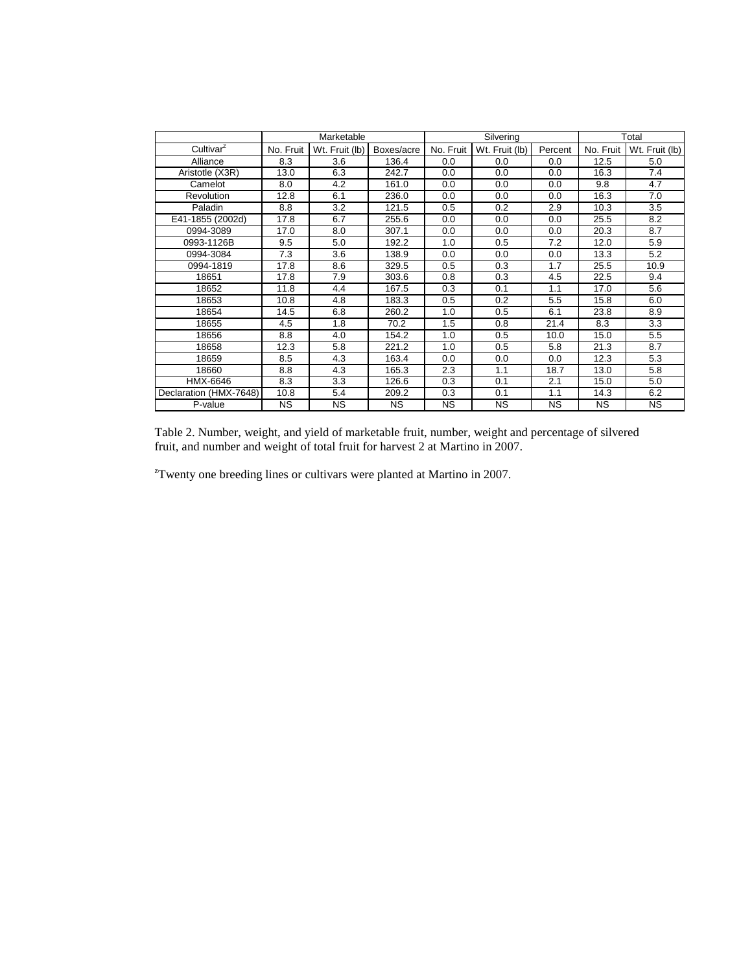|                        |           | Marketable     |            |           | Silvering      | Total     |           |                |
|------------------------|-----------|----------------|------------|-----------|----------------|-----------|-----------|----------------|
| Cultivar <sup>2</sup>  | No. Fruit | Wt. Fruit (lb) | Boxes/acre | No. Fruit | Wt. Fruit (lb) | Percent   | No. Fruit | Wt. Fruit (lb) |
| Alliance               | 8.3       | 3.6            | 136.4      | 0.0       | 0.0            | 0.0       | 12.5      | 5.0            |
| Aristotle (X3R)        | 13.0      | 6.3            | 242.7      | 0.0       | 0.0            | 0.0       | 16.3      | 7.4            |
| Camelot                | 8.0       | 4.2            | 161.0      | 0.0       | 0.0            | 0.0       | 9.8       | 4.7            |
| <b>Revolution</b>      | 12.8      | 6.1            | 236.0      | 0.0       | 0.0            | 0.0       | 16.3      | 7.0            |
| Paladin                | 8.8       | 3.2            | 121.5      | 0.5       | 0.2            | 2.9       | 10.3      | 3.5            |
| E41-1855 (2002d)       | 17.8      | 6.7            | 255.6      | 0.0       | 0.0            | 0.0       | 25.5      | 8.2            |
| 0994-3089              | 17.0      | 8.0            | 307.1      | 0.0       | 0.0            | 0.0       | 20.3      | 8.7            |
| 0993-1126B             | 9.5       | 5.0            | 192.2      | 1.0       | 0.5            | 7.2       | 12.0      | 5.9            |
| 0994-3084              | 7.3       | 3.6            | 138.9      | 0.0       | 0.0            | 0.0       | 13.3      | 5.2            |
| 0994-1819              | 17.8      | 8.6            | 329.5      | 0.5       | 0.3            | 1.7       | 25.5      | 10.9           |
| 18651                  | 17.8      | 7.9            | 303.6      | 0.8       | 0.3            | 4.5       | 22.5      | 9.4            |
| 18652                  | 11.8      | 4.4            | 167.5      | 0.3       | 0.1            | 1.1       | 17.0      | 5.6            |
| 18653                  | 10.8      | 4.8            | 183.3      | 0.5       | 0.2            | 5.5       | 15.8      | 6.0            |
| 18654                  | 14.5      | 6.8            | 260.2      | 1.0       | 0.5            | 6.1       | 23.8      | 8.9            |
| 18655                  | 4.5       | 1.8            | 70.2       | 1.5       | 0.8            | 21.4      | 8.3       | 3.3            |
| 18656                  | 8.8       | 4.0            | 154.2      | 1.0       | 0.5            | 10.0      | 15.0      | 5.5            |
| 18658                  | 12.3      | 5.8            | 221.2      | 1.0       | 0.5            | 5.8       | 21.3      | 8.7            |
| 18659                  | 8.5       | 4.3            | 163.4      | 0.0       | 0.0            | 0.0       | 12.3      | 5.3            |
| 18660                  | 8.8       | 4.3            | 165.3      | 2.3       | 1.1            | 18.7      | 13.0      | 5.8            |
| HMX-6646               | 8.3       | 3.3            | 126.6      | 0.3       | 0.1            | 2.1       | 15.0      | 5.0            |
| Declaration (HMX-7648) | 10.8      | 5.4            | 209.2      | 0.3       | 0.1            | 1.1       | 14.3      | 6.2            |
| P-value                | <b>NS</b> | <b>NS</b>      | <b>NS</b>  | <b>NS</b> | <b>NS</b>      | <b>NS</b> | NS.       | <b>NS</b>      |

Table 2. Number, weight, and yield of marketable fruit, number, weight and percentage of silvered fruit, and number and weight of total fruit for harvest 2 at Martino in 2007.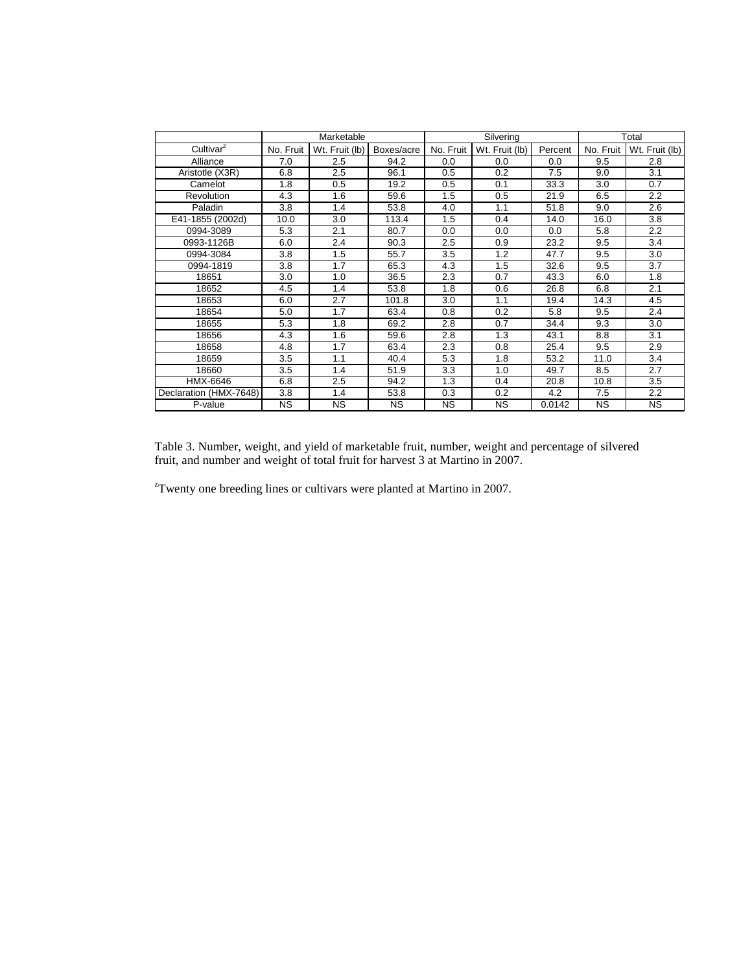|                        |           | Marketable     |            |           | Silvering      |         | Total     |                |
|------------------------|-----------|----------------|------------|-----------|----------------|---------|-----------|----------------|
| Cultivar <sup>2</sup>  | No. Fruit | Wt. Fruit (lb) | Boxes/acre | No. Fruit | Wt. Fruit (lb) | Percent | No. Fruit | Wt. Fruit (lb) |
| Alliance               | 7.0       | 2.5            | 94.2       | 0.0       | 0.0            | 0.0     | 9.5       | 2.8            |
| Aristotle (X3R)        | 6.8       | 2.5            | 96.1       | 0.5       | 0.2            | 7.5     | 9.0       | 3.1            |
| Camelot                | 1.8       | 0.5            | 19.2       | 0.5       | 0.1            | 33.3    | 3.0       | 0.7            |
| Revolution             | 4.3       | 1.6            | 59.6       | 1.5       | 0.5            | 21.9    | 6.5       | 2.2            |
| Paladin                | 3.8       | 1.4            | 53.8       | 4.0       | 1.1            | 51.8    | 9.0       | 2.6            |
| E41-1855 (2002d)       | 10.0      | 3.0            | 113.4      | 1.5       | 0.4            | 14.0    | 16.0      | 3.8            |
| 0994-3089              | 5.3       | 2.1            | 80.7       | 0.0       | 0.0            | 0.0     | 5.8       | 2.2            |
| 0993-1126B             | 6.0       | 2.4            | 90.3       | 2.5       | 0.9            | 23.2    | 9.5       | 3.4            |
| 0994-3084              | 3.8       | 1.5            | 55.7       | 3.5       | 1.2            | 47.7    | 9.5       | 3.0            |
| 0994-1819              | 3.8       | 1.7            | 65.3       | 4.3       | 1.5            | 32.6    | 9.5       | 3.7            |
| 18651                  | 3.0       | 1.0            | 36.5       | 2.3       | 0.7            | 43.3    | 6.0       | 1.8            |
| 18652                  | 4.5       | 1.4            | 53.8       | 1.8       | 0.6            | 26.8    | 6.8       | 2.1            |
| 18653                  | 6.0       | 2.7            | 101.8      | 3.0       | 1.1            | 19.4    | 14.3      | 4.5            |
| 18654                  | 5.0       | 1.7            | 63.4       | 0.8       | 0.2            | 5.8     | 9.5       | 2.4            |
| 18655                  | 5.3       | 1.8            | 69.2       | 2.8       | 0.7            | 34.4    | 9.3       | 3.0            |
| 18656                  | 4.3       | 1.6            | 59.6       | 2.8       | 1.3            | 43.1    | 8.8       | 3.1            |
| 18658                  | 4.8       | 1.7            | 63.4       | 2.3       | 0.8            | 25.4    | 9.5       | 2.9            |
| 18659                  | 3.5       | 1.1            | 40.4       | 5.3       | 1.8            | 53.2    | 11.0      | 3.4            |
| 18660                  | 3.5       | 1.4            | 51.9       | 3.3       | 1.0            | 49.7    | 8.5       | 2.7            |
| HMX-6646               | 6.8       | 2.5            | 94.2       | 1.3       | 0.4            | 20.8    | 10.8      | 3.5            |
| Declaration (HMX-7648) | 3.8       | 1.4            | 53.8       | 0.3       | 0.2            | 4.2     | 7.5       | 2.2            |
| P-value                | <b>NS</b> | <b>NS</b>      | <b>NS</b>  | <b>NS</b> | <b>NS</b>      | 0.0142  | <b>NS</b> | <b>NS</b>      |

Table 3. Number, weight, and yield of marketable fruit, number, weight and percentage of silvered fruit, and number and weight of total fruit for harvest 3 at Martino in 2007.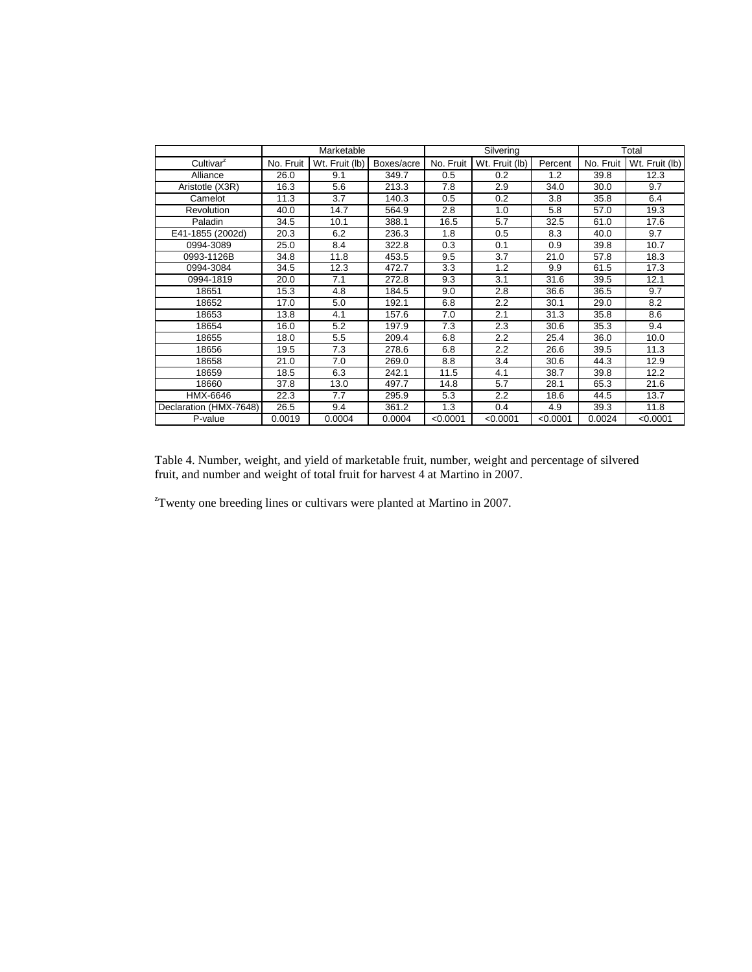|                        |           | Marketable     |            |           | Silvering      |          | Total     |                |
|------------------------|-----------|----------------|------------|-----------|----------------|----------|-----------|----------------|
| Cultivar <sup>2</sup>  | No. Fruit | Wt. Fruit (lb) | Boxes/acre | No. Fruit | Wt. Fruit (lb) | Percent  | No. Fruit | Wt. Fruit (lb) |
| Alliance               | 26.0      | 9.1            | 349.7      | 0.5       | 0.2            | 1.2      | 39.8      | 12.3           |
| Aristotle (X3R)        | 16.3      | 5.6            | 213.3      | 7.8       | 2.9            | 34.0     | 30.0      | 9.7            |
| Camelot                | 11.3      | 3.7            | 140.3      | 0.5       | 0.2            | 3.8      | 35.8      | 6.4            |
| Revolution             | 40.0      | 14.7           | 564.9      | 2.8       | 1.0            | 5.8      | 57.0      | 19.3           |
| Paladin                | 34.5      | 10.1           | 388.1      | 16.5      | 5.7            | 32.5     | 61.0      | 17.6           |
| E41-1855 (2002d)       | 20.3      | 6.2            | 236.3      | 1.8       | 0.5            | 8.3      | 40.0      | 9.7            |
| 0994-3089              | 25.0      | 8.4            | 322.8      | 0.3       | 0.1            | 0.9      | 39.8      | 10.7           |
| 0993-1126B             | 34.8      | 11.8           | 453.5      | 9.5       | 3.7            | 21.0     | 57.8      | 18.3           |
| 0994-3084              | 34.5      | 12.3           | 472.7      | 3.3       | 1.2            | 9.9      | 61.5      | 17.3           |
| 0994-1819              | 20.0      | 7.1            | 272.8      | 9.3       | 3.1            | 31.6     | 39.5      | 12.1           |
| 18651                  | 15.3      | 4.8            | 184.5      | 9.0       | 2.8            | 36.6     | 36.5      | 9.7            |
| 18652                  | 17.0      | 5.0            | 192.1      | 6.8       | 2.2            | 30.1     | 29.0      | 8.2            |
| 18653                  | 13.8      | 4.1            | 157.6      | 7.0       | 2.1            | 31.3     | 35.8      | 8.6            |
| 18654                  | 16.0      | 5.2            | 197.9      | 7.3       | 2.3            | 30.6     | 35.3      | 9.4            |
| 18655                  | 18.0      | 5.5            | 209.4      | 6.8       | 2.2            | 25.4     | 36.0      | 10.0           |
| 18656                  | 19.5      | 7.3            | 278.6      | 6.8       | 2.2            | 26.6     | 39.5      | 11.3           |
| 18658                  | 21.0      | 7.0            | 269.0      | 8.8       | 3.4            | 30.6     | 44.3      | 12.9           |
| 18659                  | 18.5      | 6.3            | 242.1      | 11.5      | 4.1            | 38.7     | 39.8      | 12.2           |
| 18660                  | 37.8      | 13.0           | 497.7      | 14.8      | 5.7            | 28.1     | 65.3      | 21.6           |
| HMX-6646               | 22.3      | 7.7            | 295.9      | 5.3       | 2.2            | 18.6     | 44.5      | 13.7           |
| Declaration (HMX-7648) | 26.5      | 9.4            | 361.2      | 1.3       | 0.4            | 4.9      | 39.3      | 11.8           |
| P-value                | 0.0019    | 0.0004         | 0.0004     | < 0.0001  | < 0.0001       | < 0.0001 | 0.0024    | < 0.0001       |

Table 4. Number, weight, and yield of marketable fruit, number, weight and percentage of silvered fruit, and number and weight of total fruit for harvest 4 at Martino in 2007.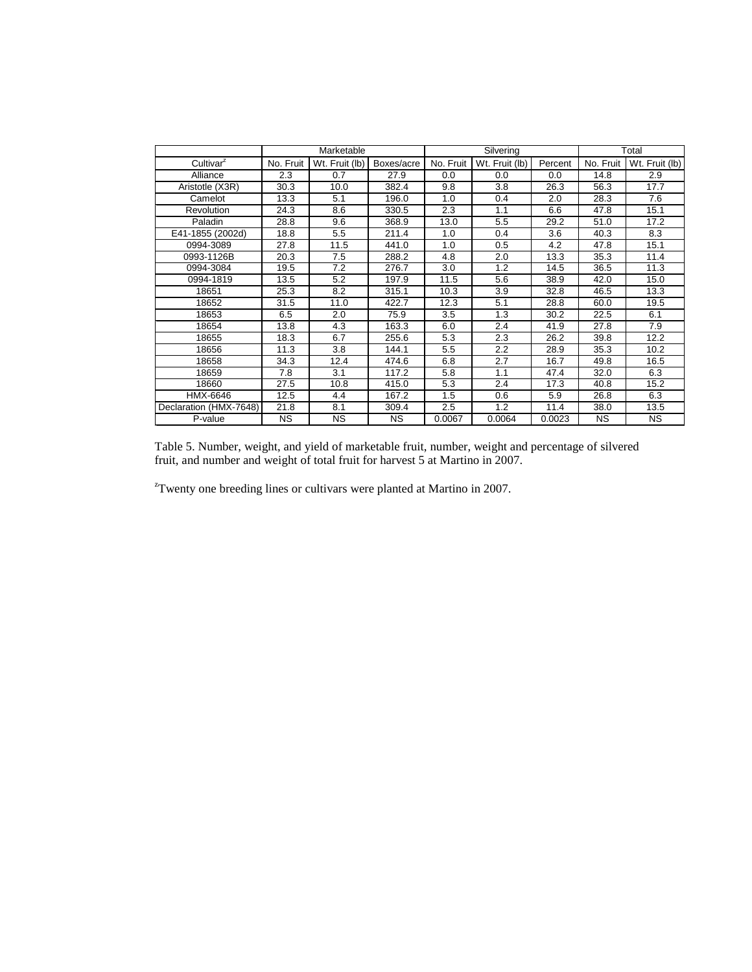|                        |           | Marketable     |            |           | Silvering      | Total   |           |                |
|------------------------|-----------|----------------|------------|-----------|----------------|---------|-----------|----------------|
| Cultivar <sup>2</sup>  | No. Fruit | Wt. Fruit (lb) | Boxes/acre | No. Fruit | Wt. Fruit (lb) | Percent | No. Fruit | Wt. Fruit (lb) |
| Alliance               | 2.3       | 0.7            | 27.9       | 0.0       | 0.0            | 0.0     | 14.8      | 2.9            |
| Aristotle (X3R)        | 30.3      | 10.0           | 382.4      | 9.8       | 3.8            | 26.3    | 56.3      | 17.7           |
| Camelot                | 13.3      | 5.1            | 196.0      | 1.0       | 0.4            | 2.0     | 28.3      | 7.6            |
| <b>Revolution</b>      | 24.3      | 8.6            | 330.5      | 2.3       | 1.1            | 6.6     | 47.8      | 15.1           |
| Paladin                | 28.8      | 9.6            | 368.9      | 13.0      | 5.5            | 29.2    | 51.0      | 17.2           |
| E41-1855 (2002d)       | 18.8      | 5.5            | 211.4      | 1.0       | 0.4            | 3.6     | 40.3      | 8.3            |
| 0994-3089              | 27.8      | 11.5           | 441.0      | 1.0       | 0.5            | 4.2     | 47.8      | 15.1           |
| 0993-1126B             | 20.3      | 7.5            | 288.2      | 4.8       | 2.0            | 13.3    | 35.3      | 11.4           |
| 0994-3084              | 19.5      | 7.2            | 276.7      | 3.0       | 1.2            | 14.5    | 36.5      | 11.3           |
| 0994-1819              | 13.5      | 5.2            | 197.9      | 11.5      | 5.6            | 38.9    | 42.0      | 15.0           |
| 18651                  | 25.3      | 8.2            | 315.1      | 10.3      | 3.9            | 32.8    | 46.5      | 13.3           |
| 18652                  | 31.5      | 11.0           | 422.7      | 12.3      | 5.1            | 28.8    | 60.0      | 19.5           |
| 18653                  | 6.5       | 2.0            | 75.9       | 3.5       | 1.3            | 30.2    | 22.5      | 6.1            |
| 18654                  | 13.8      | 4.3            | 163.3      | 6.0       | 2.4            | 41.9    | 27.8      | 7.9            |
| 18655                  | 18.3      | 6.7            | 255.6      | 5.3       | 2.3            | 26.2    | 39.8      | 12.2           |
| 18656                  | 11.3      | 3.8            | 144.1      | 5.5       | 2.2            | 28.9    | 35.3      | 10.2           |
| 18658                  | 34.3      | 12.4           | 474.6      | 6.8       | 2.7            | 16.7    | 49.8      | 16.5           |
| 18659                  | 7.8       | 3.1            | 117.2      | 5.8       | 1.1            | 47.4    | 32.0      | 6.3            |
| 18660                  | 27.5      | 10.8           | 415.0      | 5.3       | 2.4            | 17.3    | 40.8      | 15.2           |
| HMX-6646               | 12.5      | 4.4            | 167.2      | 1.5       | 0.6            | 5.9     | 26.8      | 6.3            |
| Declaration (HMX-7648) | 21.8      | 8.1            | 309.4      | 2.5       | 1.2            | 11.4    | 38.0      | 13.5           |
| P-value                | <b>NS</b> | ΝS             | <b>NS</b>  | 0.0067    | 0.0064         | 0.0023  | <b>NS</b> | <b>NS</b>      |

Table 5. Number, weight, and yield of marketable fruit, number, weight and percentage of silvered fruit, and number and weight of total fruit for harvest 5 at Martino in 2007.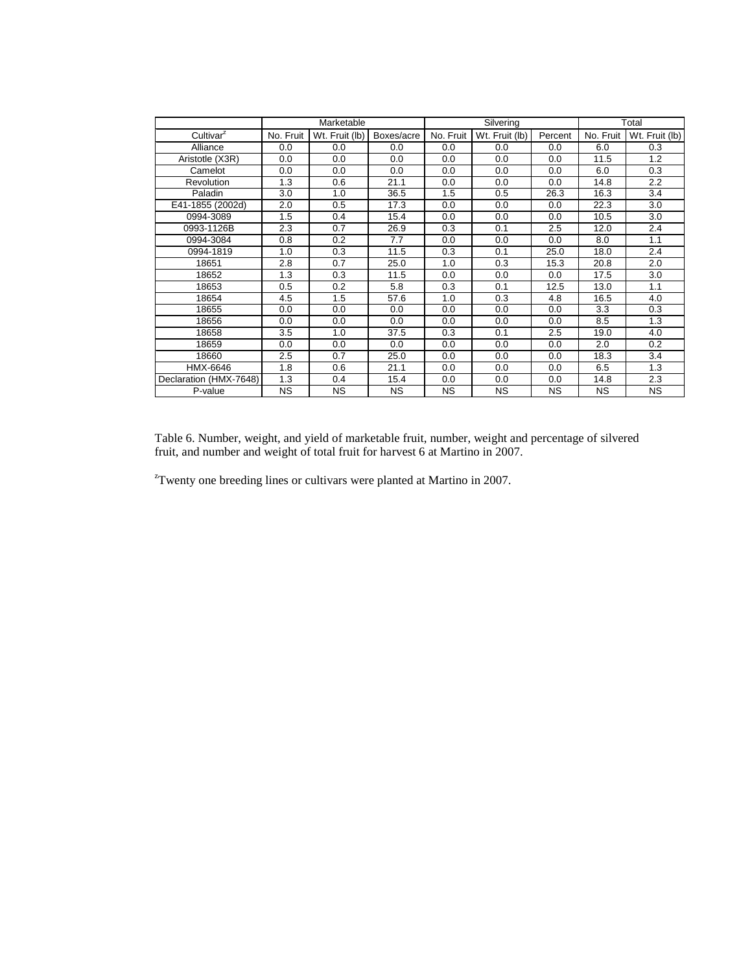|                        |           | Marketable     |            |           | Silvering      | Total     |           |                |
|------------------------|-----------|----------------|------------|-----------|----------------|-----------|-----------|----------------|
| Cultivar <sup>2</sup>  | No. Fruit | Wt. Fruit (lb) | Boxes/acre | No. Fruit | Wt. Fruit (lb) | Percent   | No. Fruit | Wt. Fruit (lb) |
| Alliance               | 0.0       | 0.0            | 0.0        | 0.0       | 0.0            | 0.0       | 6.0       | 0.3            |
| Aristotle (X3R)        | 0.0       | 0.0            | 0.0        | 0.0       | 0.0            | 0.0       | 11.5      | 1.2            |
| Camelot                | 0.0       | 0.0            | 0.0        | 0.0       | 0.0            | 0.0       | 6.0       | 0.3            |
| <b>Revolution</b>      | 1.3       | 0.6            | 21.1       | 0.0       | 0.0            | 0.0       | 14.8      | 2.2            |
| Paladin                | 3.0       | 1.0            | 36.5       | 1.5       | 0.5            | 26.3      | 16.3      | 3.4            |
| E41-1855 (2002d)       | 2.0       | 0.5            | 17.3       | 0.0       | 0.0            | 0.0       | 22.3      | 3.0            |
| 0994-3089              | 1.5       | 0.4            | 15.4       | 0.0       | 0.0            | 0.0       | 10.5      | 3.0            |
| 0993-1126B             | 2.3       | 0.7            | 26.9       | 0.3       | 0.1            | 2.5       | 12.0      | 2.4            |
| 0994-3084              | 0.8       | 0.2            | 7.7        | 0.0       | 0.0            | 0.0       | 8.0       | 1.1            |
| 0994-1819              | 1.0       | 0.3            | 11.5       | 0.3       | 0.1            | 25.0      | 18.0      | 2.4            |
| 18651                  | 2.8       | 0.7            | 25.0       | 1.0       | 0.3            | 15.3      | 20.8      | 2.0            |
| 18652                  | 1.3       | 0.3            | 11.5       | 0.0       | 0.0            | 0.0       | 17.5      | 3.0            |
| 18653                  | 0.5       | 0.2            | 5.8        | 0.3       | 0.1            | 12.5      | 13.0      | 1.1            |
| 18654                  | 4.5       | 1.5            | 57.6       | 1.0       | 0.3            | 4.8       | 16.5      | 4.0            |
| 18655                  | 0.0       | 0.0            | 0.0        | 0.0       | 0.0            | 0.0       | 3.3       | 0.3            |
| 18656                  | 0.0       | 0.0            | 0.0        | 0.0       | 0.0            | 0.0       | 8.5       | 1.3            |
| 18658                  | 3.5       | 1.0            | 37.5       | 0.3       | 0.1            | 2.5       | 19.0      | 4.0            |
| 18659                  | 0.0       | 0.0            | 0.0        | 0.0       | 0.0            | 0.0       | 2.0       | 0.2            |
| 18660                  | 2.5       | 0.7            | 25.0       | 0.0       | 0.0            | 0.0       | 18.3      | 3.4            |
| HMX-6646               | 1.8       | 0.6            | 21.1       | 0.0       | 0.0            | 0.0       | 6.5       | 1.3            |
| Declaration (HMX-7648) | 1.3       | 0.4            | 15.4       | 0.0       | 0.0            | 0.0       | 14.8      | 2.3            |
| P-value                | <b>NS</b> | <b>NS</b>      | <b>NS</b>  | <b>NS</b> | <b>NS</b>      | <b>NS</b> | <b>NS</b> | <b>NS</b>      |

Table 6. Number, weight, and yield of marketable fruit, number, weight and percentage of silvered fruit, and number and weight of total fruit for harvest 6 at Martino in 2007.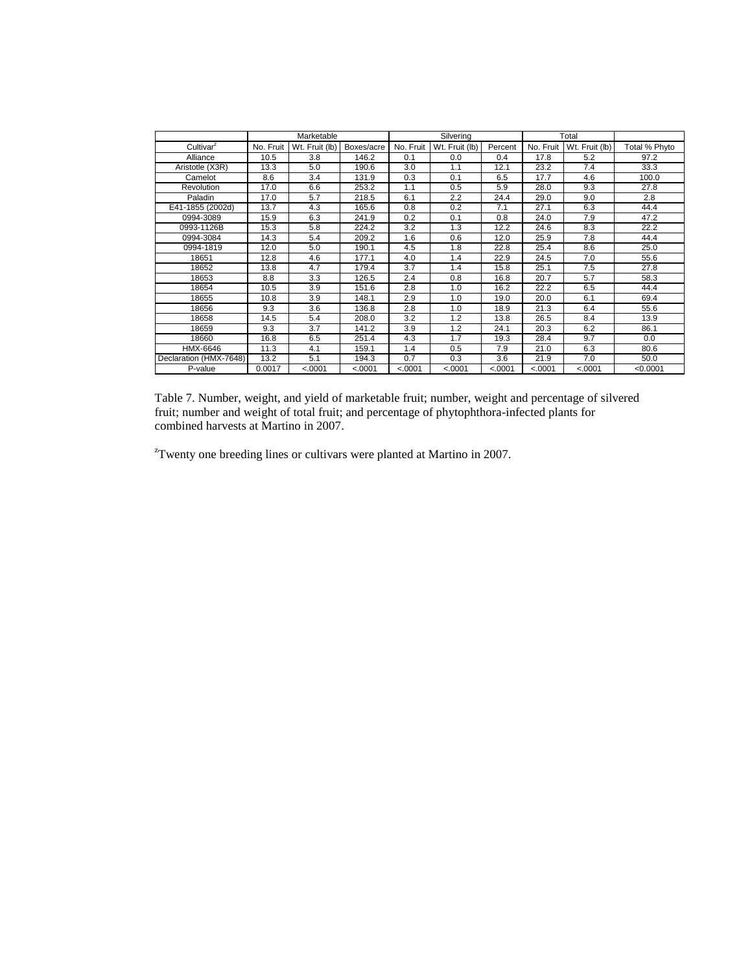|                        |           | Marketable     |            |           | Silvering      |         |           | Total          |               |
|------------------------|-----------|----------------|------------|-----------|----------------|---------|-----------|----------------|---------------|
| Cultivar <sup>z</sup>  | No. Fruit | Wt. Fruit (lb) | Boxes/acre | No. Fruit | Wt. Fruit (lb) | Percent | No. Fruit | Wt. Fruit (lb) | Total % Phyto |
| Alliance               | 10.5      | 3.8            | 146.2      | 0.1       | 0.0            | 0.4     | 17.8      | 5.2            | 97.2          |
| Aristotle (X3R)        | 13.3      | 5.0            | 190.6      | 3.0       | 1.1            | 12.1    | 23.2      | 7.4            | 33.3          |
| Camelot                | 8.6       | 3.4            | 131.9      | 0.3       | 0.1            | 6.5     | 17.7      | 4.6            | 100.0         |
| Revolution             | 17.0      | 6.6            | 253.2      | 1.1       | 0.5            | 5.9     | 28.0      | 9.3            | 27.8          |
| Paladin                | 17.0      | 5.7            | 218.5      | 6.1       | 2.2            | 24.4    | 29.0      | 9.0            | 2.8           |
| E41-1855 (2002d)       | 13.7      | 4.3            | 165.6      | 0.8       | 0.2            | 7.1     | 27.1      | 6.3            | 44.4          |
| 0994-3089              | 15.9      | 6.3            | 241.9      | 0.2       | 0.1            | 0.8     | 24.0      | 7.9            | 47.2          |
| 0993-1126B             | 15.3      | 5.8            | 224.2      | 3.2       | 1.3            | 12.2    | 24.6      | 8.3            | 22.2          |
| 0994-3084              | 14.3      | 5.4            | 209.2      | 1.6       | 0.6            | 12.0    | 25.9      | 7.8            | 44.4          |
| 0994-1819              | 12.0      | 5.0            | 190.1      | 4.5       | 1.8            | 22.8    | 25.4      | 8.6            | 25.0          |
| 18651                  | 12.8      | 4.6            | 177.1      | 4.0       | 1.4            | 22.9    | 24.5      | 7.0            | 55.6          |
| 18652                  | 13.8      | 4.7            | 179.4      | 3.7       | 1.4            | 15.8    | 25.1      | 7.5            | 27.8          |
| 18653                  | 8.8       | 3.3            | 126.5      | 2.4       | 0.8            | 16.8    | 20.7      | 5.7            | 58.3          |
| 18654                  | 10.5      | 3.9            | 151.6      | 2.8       | 1.0            | 16.2    | 22.2      | 6.5            | 44.4          |
| 18655                  | 10.8      | 3.9            | 148.1      | 2.9       | 1.0            | 19.0    | 20.0      | 6.1            | 69.4          |
| 18656                  | 9.3       | 3.6            | 136.8      | 2.8       | 1.0            | 18.9    | 21.3      | 6.4            | 55.6          |
| 18658                  | 14.5      | 5.4            | 208.0      | 3.2       | 1.2            | 13.8    | 26.5      | 8.4            | 13.9          |
| 18659                  | 9.3       | 3.7            | 141.2      | 3.9       | 1.2            | 24.1    | 20.3      | 6.2            | 86.1          |
| 18660                  | 16.8      | 6.5            | 251.4      | 4.3       | 1.7            | 19.3    | 28.4      | 9.7            | 0.0           |
| HMX-6646               | 11.3      | 4.1            | 159.1      | 1.4       | 0.5            | 7.9     | 21.0      | 6.3            | 80.6          |
| Declaration (HMX-7648) | 13.2      | 5.1            | 194.3      | 0.7       | 0.3            | 3.6     | 21.9      | 7.0            | 50.0          |
| P-value                | 0.0017    | < .0001        | < .0001    | < .0001   | < .0001        | < .0001 | < .0001   | < .0001        | < 0.0001      |

Table 7. Number, weight, and yield of marketable fruit; number, weight and percentage of silvered fruit; number and weight of total fruit; and percentage of phytophthora-infected plants for combined harvests at Martino in 2007.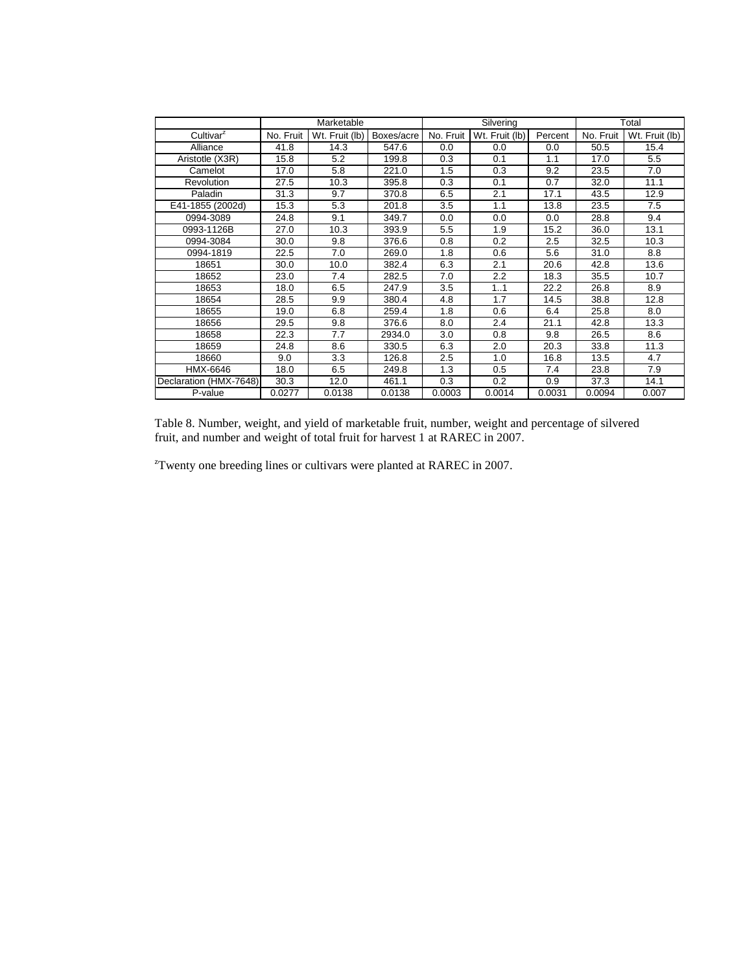|                        |           | Marketable     |            |           | Silvering      |         | Total     |                |
|------------------------|-----------|----------------|------------|-----------|----------------|---------|-----------|----------------|
| Cultivar <sup>z</sup>  | No. Fruit | Wt. Fruit (lb) | Boxes/acre | No. Fruit | Wt. Fruit (lb) | Percent | No. Fruit | Wt. Fruit (lb) |
| Alliance               | 41.8      | 14.3           | 547.6      | 0.0       | 0.0            | 0.0     | 50.5      | 15.4           |
| Aristotle (X3R)        | 15.8      | 5.2            | 199.8      | 0.3       | 0.1            | 1.1     | 17.0      | 5.5            |
| Camelot                | 17.0      | 5.8            | 221.0      | 1.5       | 0.3            | 9.2     | 23.5      | 7.0            |
| Revolution             | 27.5      | 10.3           | 395.8      | 0.3       | 0.1            | 0.7     | 32.0      | 11.1           |
| Paladin                | 31.3      | 9.7            | 370.8      | 6.5       | 2.1            | 17.1    | 43.5      | 12.9           |
| E41-1855 (2002d)       | 15.3      | 5.3            | 201.8      | 3.5       | 1.1            | 13.8    | 23.5      | 7.5            |
| 0994-3089              | 24.8      | 9.1            | 349.7      | 0.0       | 0.0            | 0.0     | 28.8      | 9.4            |
| 0993-1126B             | 27.0      | 10.3           | 393.9      | 5.5       | 1.9            | 15.2    | 36.0      | 13.1           |
| 0994-3084              | 30.0      | 9.8            | 376.6      | 0.8       | 0.2            | 2.5     | 32.5      | 10.3           |
| 0994-1819              | 22.5      | 7.0            | 269.0      | 1.8       | 0.6            | 5.6     | 31.0      | 8.8            |
| 18651                  | 30.0      | 10.0           | 382.4      | 6.3       | 2.1            | 20.6    | 42.8      | 13.6           |
| 18652                  | 23.0      | 7.4            | 282.5      | 7.0       | 2.2            | 18.3    | 35.5      | 10.7           |
| 18653                  | 18.0      | 6.5            | 247.9      | 3.5       | 1.1            | 22.2    | 26.8      | 8.9            |
| 18654                  | 28.5      | 9.9            | 380.4      | 4.8       | 1.7            | 14.5    | 38.8      | 12.8           |
| 18655                  | 19.0      | 6.8            | 259.4      | 1.8       | 0.6            | 6.4     | 25.8      | 8.0            |
| 18656                  | 29.5      | 9.8            | 376.6      | 8.0       | 2.4            | 21.1    | 42.8      | 13.3           |
| 18658                  | 22.3      | 7.7            | 2934.0     | 3.0       | 0.8            | 9.8     | 26.5      | 8.6            |
| 18659                  | 24.8      | 8.6            | 330.5      | 6.3       | 2.0            | 20.3    | 33.8      | 11.3           |
| 18660                  | 9.0       | 3.3            | 126.8      | 2.5       | 1.0            | 16.8    | 13.5      | 4.7            |
| HMX-6646               | 18.0      | 6.5            | 249.8      | 1.3       | 0.5            | 7.4     | 23.8      | 7.9            |
| Declaration (HMX-7648) | 30.3      | 12.0           | 461.1      | 0.3       | 0.2            | 0.9     | 37.3      | 14.1           |
| P-value                | 0.0277    | 0.0138         | 0.0138     | 0.0003    | 0.0014         | 0.0031  | 0.0094    | 0.007          |

Table 8. Number, weight, and yield of marketable fruit, number, weight and percentage of silvered fruit, and number and weight of total fruit for harvest 1 at RAREC in 2007.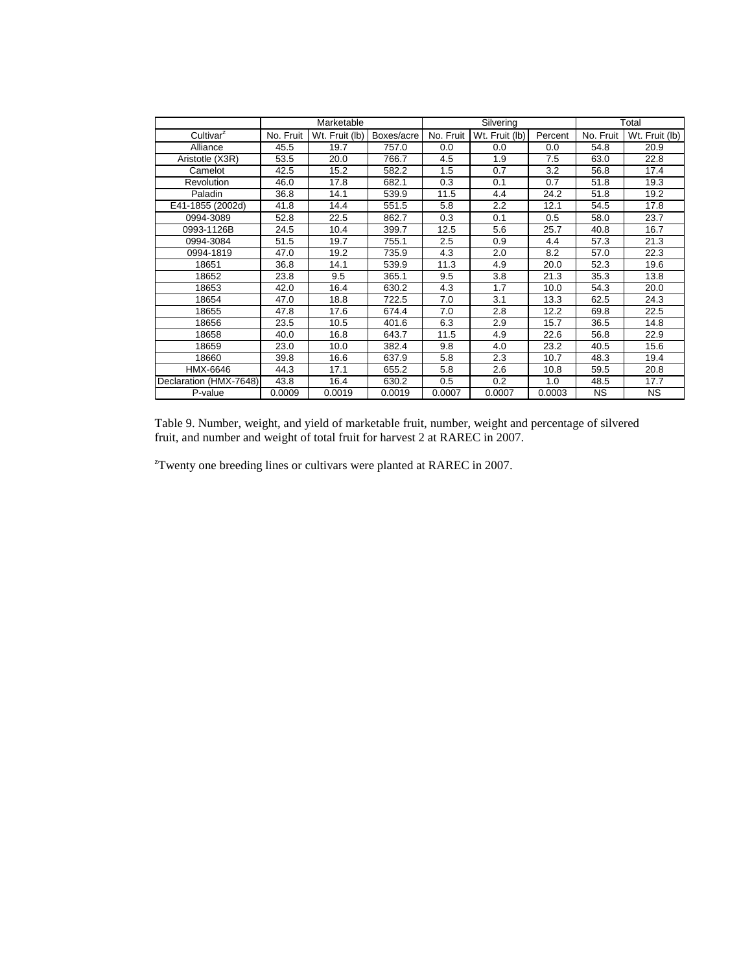|                        |           | Marketable     |            |           | Silvering      |         | Total     |                |
|------------------------|-----------|----------------|------------|-----------|----------------|---------|-----------|----------------|
| Cultivar <sup>2</sup>  | No. Fruit | Wt. Fruit (lb) | Boxes/acre | No. Fruit | Wt. Fruit (lb) | Percent | No. Fruit | Wt. Fruit (lb) |
| Alliance               | 45.5      | 19.7           | 757.0      | 0.0       | 0.0            | 0.0     | 54.8      | 20.9           |
| Aristotle (X3R)        | 53.5      | 20.0           | 766.7      | 4.5       | 1.9            | 7.5     | 63.0      | 22.8           |
| Camelot                | 42.5      | 15.2           | 582.2      | 1.5       | 0.7            | 3.2     | 56.8      | 17.4           |
| Revolution             | 46.0      | 17.8           | 682.1      | 0.3       | 0.1            | 0.7     | 51.8      | 19.3           |
| Paladin                | 36.8      | 14.1           | 539.9      | 11.5      | 4.4            | 24.2    | 51.8      | 19.2           |
| E41-1855 (2002d)       | 41.8      | 14.4           | 551.5      | 5.8       | 2.2            | 12.1    | 54.5      | 17.8           |
| 0994-3089              | 52.8      | 22.5           | 862.7      | 0.3       | 0.1            | 0.5     | 58.0      | 23.7           |
| 0993-1126B             | 24.5      | 10.4           | 399.7      | 12.5      | 5.6            | 25.7    | 40.8      | 16.7           |
| 0994-3084              | 51.5      | 19.7           | 755.1      | 2.5       | 0.9            | 4.4     | 57.3      | 21.3           |
| 0994-1819              | 47.0      | 19.2           | 735.9      | 4.3       | 2.0            | 8.2     | 57.0      | 22.3           |
| 18651                  | 36.8      | 14.1           | 539.9      | 11.3      | 4.9            | 20.0    | 52.3      | 19.6           |
| 18652                  | 23.8      | 9.5            | 365.1      | 9.5       | 3.8            | 21.3    | 35.3      | 13.8           |
| 18653                  | 42.0      | 16.4           | 630.2      | 4.3       | 1.7            | 10.0    | 54.3      | 20.0           |
| 18654                  | 47.0      | 18.8           | 722.5      | 7.0       | 3.1            | 13.3    | 62.5      | 24.3           |
| 18655                  | 47.8      | 17.6           | 674.4      | 7.0       | 2.8            | 12.2    | 69.8      | 22.5           |
| 18656                  | 23.5      | 10.5           | 401.6      | 6.3       | 2.9            | 15.7    | 36.5      | 14.8           |
| 18658                  | 40.0      | 16.8           | 643.7      | 11.5      | 4.9            | 22.6    | 56.8      | 22.9           |
| 18659                  | 23.0      | 10.0           | 382.4      | 9.8       | 4.0            | 23.2    | 40.5      | 15.6           |
| 18660                  | 39.8      | 16.6           | 637.9      | 5.8       | 2.3            | 10.7    | 48.3      | 19.4           |
| HMX-6646               | 44.3      | 17.1           | 655.2      | 5.8       | 2.6            | 10.8    | 59.5      | 20.8           |
| Declaration (HMX-7648) | 43.8      | 16.4           | 630.2      | 0.5       | 0.2            | 1.0     | 48.5      | 17.7           |
| P-value                | 0.0009    | 0.0019         | 0.0019     | 0.0007    | 0.0007         | 0.0003  | <b>NS</b> | <b>NS</b>      |

Table 9. Number, weight, and yield of marketable fruit, number, weight and percentage of silvered fruit, and number and weight of total fruit for harvest 2 at RAREC in 2007.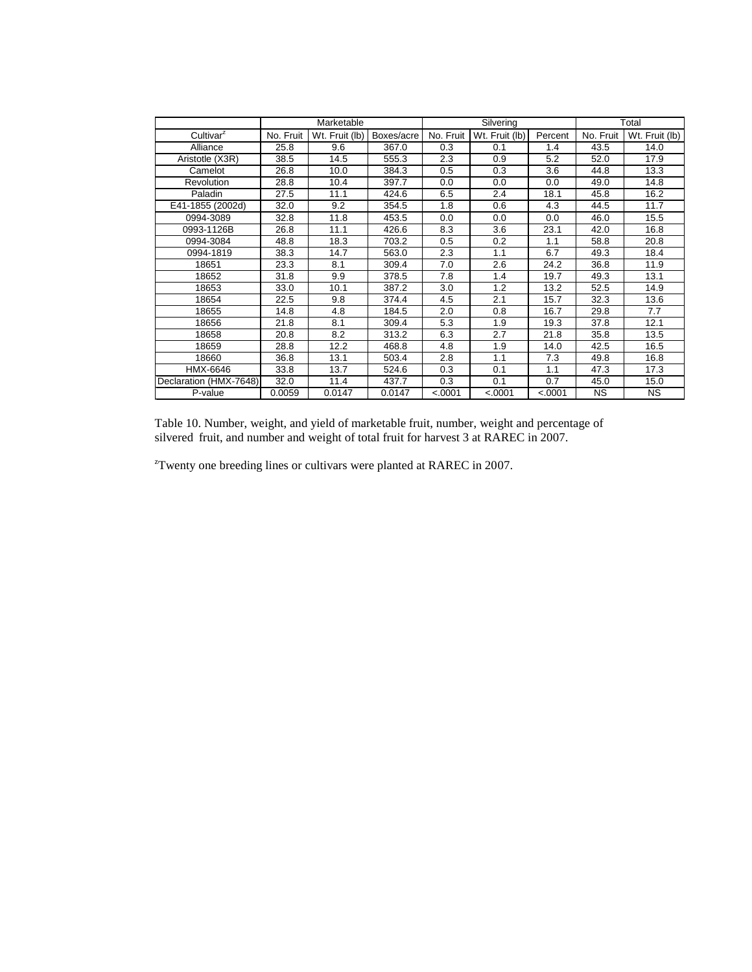|                        |           | Marketable     |            |           | Silvering      |         | Total     |                |
|------------------------|-----------|----------------|------------|-----------|----------------|---------|-----------|----------------|
| Cultivar <sup>2</sup>  | No. Fruit | Wt. Fruit (lb) | Boxes/acre | No. Fruit | Wt. Fruit (lb) | Percent | No. Fruit | Wt. Fruit (lb) |
| Alliance               | 25.8      | 9.6            | 367.0      | 0.3       | 0.1            | 1.4     | 43.5      | 14.0           |
| Aristotle (X3R)        | 38.5      | 14.5           | 555.3      | 2.3       | 0.9            | 5.2     | 52.0      | 17.9           |
| Camelot                | 26.8      | 10.0           | 384.3      | 0.5       | 0.3            | 3.6     | 44.8      | 13.3           |
| <b>Revolution</b>      | 28.8      | 10.4           | 397.7      | 0.0       | 0.0            | 0.0     | 49.0      | 14.8           |
| Paladin                | 27.5      | 11.1           | 424.6      | 6.5       | 2.4            | 18.1    | 45.8      | 16.2           |
| E41-1855 (2002d)       | 32.0      | 9.2            | 354.5      | 1.8       | 0.6            | 4.3     | 44.5      | 11.7           |
| 0994-3089              | 32.8      | 11.8           | 453.5      | 0.0       | 0.0            | 0.0     | 46.0      | 15.5           |
| 0993-1126B             | 26.8      | 11.1           | 426.6      | 8.3       | 3.6            | 23.1    | 42.0      | 16.8           |
| 0994-3084              | 48.8      | 18.3           | 703.2      | 0.5       | 0.2            | 1.1     | 58.8      | 20.8           |
| 0994-1819              | 38.3      | 14.7           | 563.0      | 2.3       | 1.1            | 6.7     | 49.3      | 18.4           |
| 18651                  | 23.3      | 8.1            | 309.4      | 7.0       | 2.6            | 24.2    | 36.8      | 11.9           |
| 18652                  | 31.8      | 9.9            | 378.5      | 7.8       | 1.4            | 19.7    | 49.3      | 13.1           |
| 18653                  | 33.0      | 10.1           | 387.2      | 3.0       | 1.2            | 13.2    | 52.5      | 14.9           |
| 18654                  | 22.5      | 9.8            | 374.4      | 4.5       | 2.1            | 15.7    | 32.3      | 13.6           |
| 18655                  | 14.8      | 4.8            | 184.5      | 2.0       | 0.8            | 16.7    | 29.8      | 7.7            |
| 18656                  | 21.8      | 8.1            | 309.4      | 5.3       | 1.9            | 19.3    | 37.8      | 12.1           |
| 18658                  | 20.8      | 8.2            | 313.2      | 6.3       | 2.7            | 21.8    | 35.8      | 13.5           |
| 18659                  | 28.8      | 12.2           | 468.8      | 4.8       | 1.9            | 14.0    | 42.5      | 16.5           |
| 18660                  | 36.8      | 13.1           | 503.4      | 2.8       | 1.1            | 7.3     | 49.8      | 16.8           |
| HMX-6646               | 33.8      | 13.7           | 524.6      | 0.3       | 0.1            | 1.1     | 47.3      | 17.3           |
| Declaration (HMX-7648) | 32.0      | 11.4           | 437.7      | 0.3       | 0.1            | 0.7     | 45.0      | 15.0           |
| P-value                | 0.0059    | 0.0147         | 0.0147     | < .0001   | < .0001        | < .0001 | <b>NS</b> | <b>NS</b>      |

Table 10. Number, weight, and yield of marketable fruit, number, weight and percentage of silvered fruit, and number and weight of total fruit for harvest 3 at RAREC in 2007.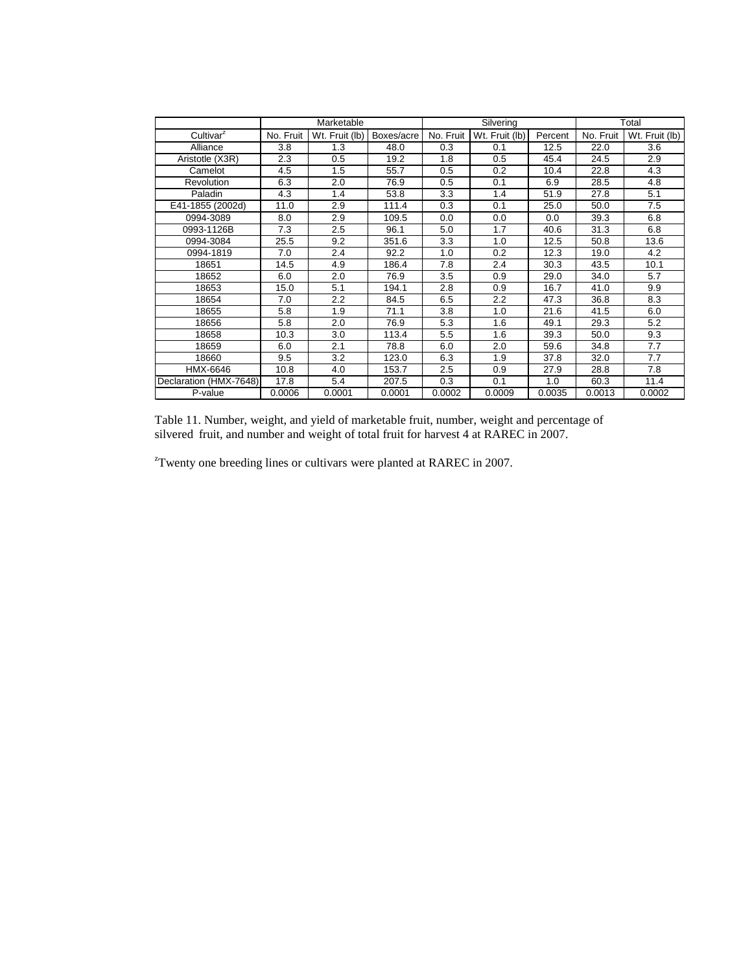|                        | Marketable |                |            |           | Silvering      |         | Total     |                |
|------------------------|------------|----------------|------------|-----------|----------------|---------|-----------|----------------|
| Cultivar <sup>2</sup>  | No. Fruit  | Wt. Fruit (lb) | Boxes/acre | No. Fruit | Wt. Fruit (lb) | Percent | No. Fruit | Wt. Fruit (lb) |
| Alliance               | 3.8        | 1.3            | 48.0       | 0.3       | 0.1            | 12.5    | 22.0      | 3.6            |
| Aristotle (X3R)        | 2.3        | 0.5            | 19.2       | 1.8       | 0.5            | 45.4    | 24.5      | 2.9            |
| Camelot                | 4.5        | 1.5            | 55.7       | 0.5       | 0.2            | 10.4    | 22.8      | 4.3            |
| Revolution             | 6.3        | 2.0            | 76.9       | 0.5       | 0.1            | 6.9     | 28.5      | 4.8            |
| Paladin                | 4.3        | 1.4            | 53.8       | 3.3       | 1.4            | 51.9    | 27.8      | 5.1            |
| E41-1855 (2002d)       | 11.0       | 2.9            | 111.4      | 0.3       | 0.1            | 25.0    | 50.0      | 7.5            |
| 0994-3089              | 8.0        | 2.9            | 109.5      | 0.0       | 0.0            | 0.0     | 39.3      | 6.8            |
| 0993-1126B             | 7.3        | 2.5            | 96.1       | 5.0       | 1.7            | 40.6    | 31.3      | 6.8            |
| 0994-3084              | 25.5       | 9.2            | 351.6      | 3.3       | 1.0            | 12.5    | 50.8      | 13.6           |
| 0994-1819              | 7.0        | 2.4            | 92.2       | 1.0       | 0.2            | 12.3    | 19.0      | 4.2            |
| 18651                  | 14.5       | 4.9            | 186.4      | 7.8       | 2.4            | 30.3    | 43.5      | 10.1           |
| 18652                  | 6.0        | 2.0            | 76.9       | 3.5       | 0.9            | 29.0    | 34.0      | 5.7            |
| 18653                  | 15.0       | 5.1            | 194.1      | 2.8       | 0.9            | 16.7    | 41.0      | 9.9            |
| 18654                  | 7.0        | 2.2            | 84.5       | 6.5       | 2.2            | 47.3    | 36.8      | 8.3            |
| 18655                  | 5.8        | 1.9            | 71.1       | 3.8       | 1.0            | 21.6    | 41.5      | 6.0            |
| 18656                  | 5.8        | 2.0            | 76.9       | 5.3       | 1.6            | 49.1    | 29.3      | 5.2            |
| 18658                  | 10.3       | 3.0            | 113.4      | 5.5       | 1.6            | 39.3    | 50.0      | 9.3            |
| 18659                  | 6.0        | 2.1            | 78.8       | 6.0       | 2.0            | 59.6    | 34.8      | 7.7            |
| 18660                  | 9.5        | 3.2            | 123.0      | 6.3       | 1.9            | 37.8    | 32.0      | 7.7            |
| HMX-6646               | 10.8       | 4.0            | 153.7      | 2.5       | 0.9            | 27.9    | 28.8      | 7.8            |
| Declaration (HMX-7648) | 17.8       | 5.4            | 207.5      | 0.3       | 0.1            | 1.0     | 60.3      | 11.4           |
| P-value                | 0.0006     | 0.0001         | 0.0001     | 0.0002    | 0.0009         | 0.0035  | 0.0013    | 0.0002         |

Table 11. Number, weight, and yield of marketable fruit, number, weight and percentage of silvered fruit, and number and weight of total fruit for harvest 4 at RAREC in 2007.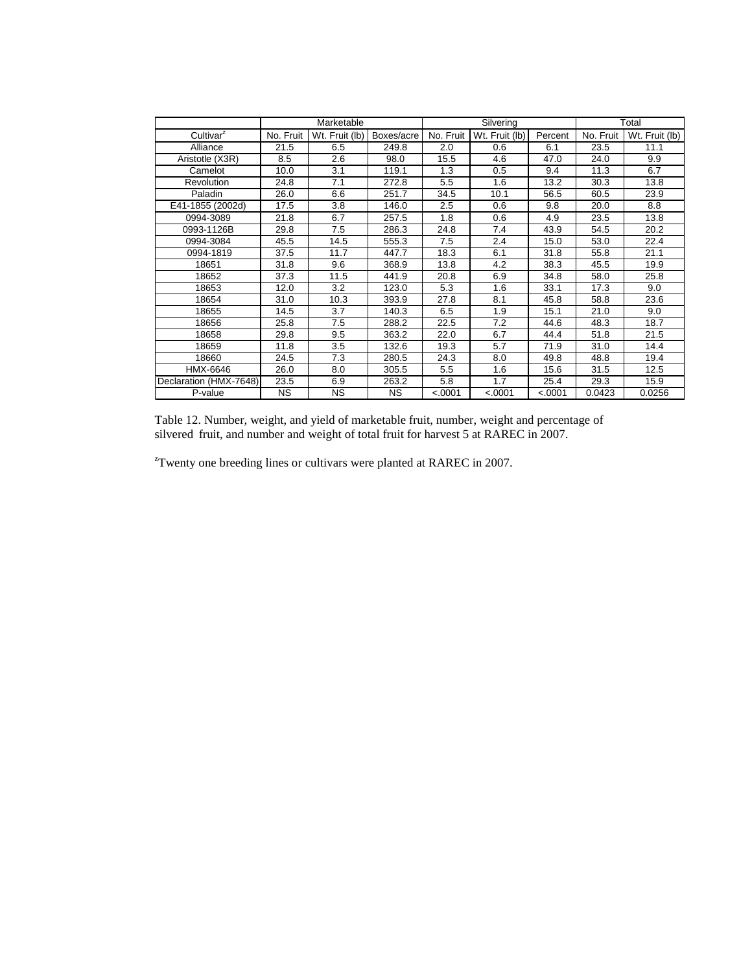|                        |           | Marketable     |            |           | Silvering      |         | Total     |                |
|------------------------|-----------|----------------|------------|-----------|----------------|---------|-----------|----------------|
| Cultivar <sup>z</sup>  | No. Fruit | Wt. Fruit (lb) | Boxes/acre | No. Fruit | Wt. Fruit (lb) | Percent | No. Fruit | Wt. Fruit (lb) |
| Alliance               | 21.5      | 6.5            | 249.8      | 2.0       | 0.6            | 6.1     | 23.5      | 11.1           |
| Aristotle (X3R)        | 8.5       | 2.6            | 98.0       | 15.5      | 4.6            | 47.0    | 24.0      | 9.9            |
| Camelot                | 10.0      | 3.1            | 119.1      | 1.3       | 0.5            | 9.4     | 11.3      | 6.7            |
| Revolution             | 24.8      | 7.1            | 272.8      | 5.5       | 1.6            | 13.2    | 30.3      | 13.8           |
| Paladin                | 26.0      | 6.6            | 251.7      | 34.5      | 10.1           | 56.5    | 60.5      | 23.9           |
| E41-1855 (2002d)       | 17.5      | 3.8            | 146.0      | 2.5       | 0.6            | 9.8     | 20.0      | 8.8            |
| 0994-3089              | 21.8      | 6.7            | 257.5      | 1.8       | 0.6            | 4.9     | 23.5      | 13.8           |
| 0993-1126B             | 29.8      | 7.5            | 286.3      | 24.8      | 7.4            | 43.9    | 54.5      | 20.2           |
| 0994-3084              | 45.5      | 14.5           | 555.3      | 7.5       | 2.4            | 15.0    | 53.0      | 22.4           |
| 0994-1819              | 37.5      | 11.7           | 447.7      | 18.3      | 6.1            | 31.8    | 55.8      | 21.1           |
| 18651                  | 31.8      | 9.6            | 368.9      | 13.8      | 4.2            | 38.3    | 45.5      | 19.9           |
| 18652                  | 37.3      | 11.5           | 441.9      | 20.8      | 6.9            | 34.8    | 58.0      | 25.8           |
| 18653                  | 12.0      | 3.2            | 123.0      | 5.3       | 1.6            | 33.1    | 17.3      | 9.0            |
| 18654                  | 31.0      | 10.3           | 393.9      | 27.8      | 8.1            | 45.8    | 58.8      | 23.6           |
| 18655                  | 14.5      | 3.7            | 140.3      | 6.5       | 1.9            | 15.1    | 21.0      | 9.0            |
| 18656                  | 25.8      | 7.5            | 288.2      | 22.5      | 7.2            | 44.6    | 48.3      | 18.7           |
| 18658                  | 29.8      | 9.5            | 363.2      | 22.0      | 6.7            | 44.4    | 51.8      | 21.5           |
| 18659                  | 11.8      | 3.5            | 132.6      | 19.3      | 5.7            | 71.9    | 31.0      | 14.4           |
| 18660                  | 24.5      | 7.3            | 280.5      | 24.3      | 8.0            | 49.8    | 48.8      | 19.4           |
| HMX-6646               | 26.0      | 8.0            | 305.5      | 5.5       | 1.6            | 15.6    | 31.5      | 12.5           |
| Declaration (HMX-7648) | 23.5      | 6.9            | 263.2      | 5.8       | 1.7            | 25.4    | 29.3      | 15.9           |
| P-value                | <b>NS</b> | <b>NS</b>      | ΝS         | < .0001   | < .0001        | < .0001 | 0.0423    | 0.0256         |

Table 12. Number, weight, and yield of marketable fruit, number, weight and percentage of silvered fruit, and number and weight of total fruit for harvest 5 at RAREC in 2007.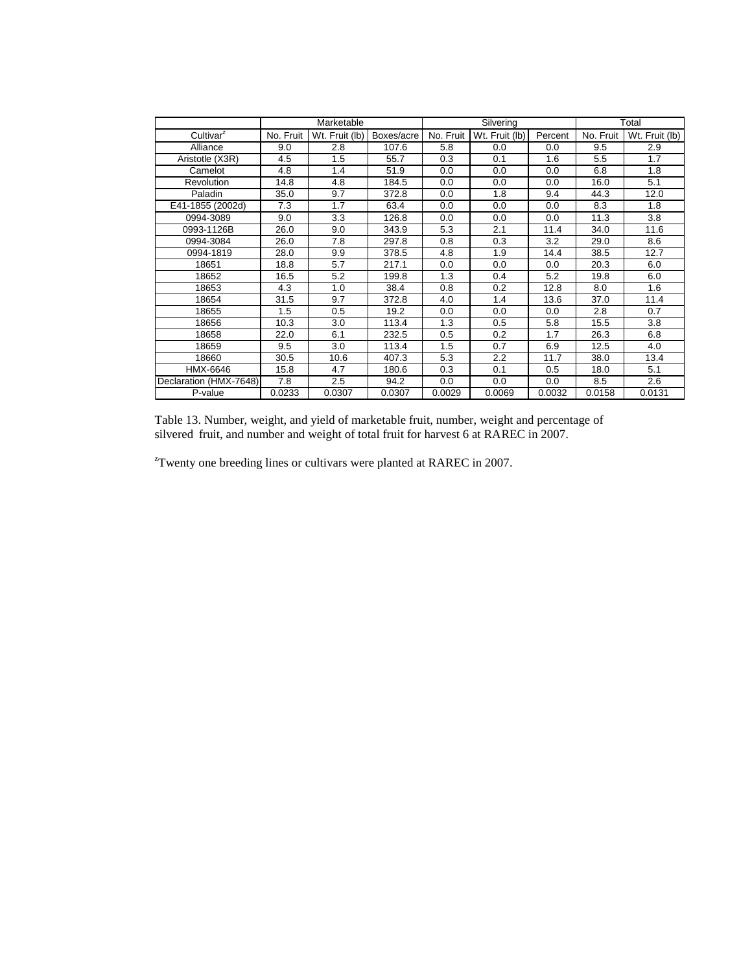|                        |           | Marketable     |            |           | Silvering      | Total   |           |                |  |
|------------------------|-----------|----------------|------------|-----------|----------------|---------|-----------|----------------|--|
| Cultivar <sup>2</sup>  | No. Fruit | Wt. Fruit (lb) | Boxes/acre | No. Fruit | Wt. Fruit (lb) | Percent | No. Fruit | Wt. Fruit (lb) |  |
| Alliance               | 9.0       | 2.8            | 107.6      | 5.8       | 0.0            | 0.0     | 9.5       | 2.9            |  |
| Aristotle (X3R)        | 4.5       | 1.5            | 55.7       | 0.3       | 0.1            | 1.6     | 5.5       | 1.7            |  |
| Camelot                | 4.8       | 1.4            | 51.9       | 0.0       | 0.0            | 0.0     | 6.8       | 1.8            |  |
| Revolution             | 14.8      | 4.8            | 184.5      | 0.0       | 0.0            | 0.0     | 16.0      | 5.1            |  |
| Paladin                | 35.0      | 9.7            | 372.8      | 0.0       | 1.8            | 9.4     | 44.3      | 12.0           |  |
| E41-1855 (2002d)       | 7.3       | 1.7            | 63.4       | 0.0       | 0.0            | 0.0     | 8.3       | 1.8            |  |
| 0994-3089              | 9.0       | 3.3            | 126.8      | 0.0       | 0.0            | 0.0     | 11.3      | 3.8            |  |
| 0993-1126B             | 26.0      | 9.0            | 343.9      | 5.3       | 2.1            | 11.4    | 34.0      | 11.6           |  |
| 0994-3084              | 26.0      | 7.8            | 297.8      | 0.8       | 0.3            | 3.2     | 29.0      | 8.6            |  |
| 0994-1819              | 28.0      | 9.9            | 378.5      | 4.8       | 1.9            | 14.4    | 38.5      | 12.7           |  |
| 18651                  | 18.8      | 5.7            | 217.1      | 0.0       | 0.0            | 0.0     | 20.3      | 6.0            |  |
| 18652                  | 16.5      | 5.2            | 199.8      | 1.3       | 0.4            | 5.2     | 19.8      | 6.0            |  |
| 18653                  | 4.3       | 1.0            | 38.4       | 0.8       | 0.2            | 12.8    | 8.0       | 1.6            |  |
| 18654                  | 31.5      | 9.7            | 372.8      | 4.0       | 1.4            | 13.6    | 37.0      | 11.4           |  |
| 18655                  | 1.5       | 0.5            | 19.2       | 0.0       | 0.0            | 0.0     | 2.8       | 0.7            |  |
| 18656                  | 10.3      | 3.0            | 113.4      | 1.3       | 0.5            | 5.8     | 15.5      | 3.8            |  |
| 18658                  | 22.0      | 6.1            | 232.5      | 0.5       | 0.2            | 1.7     | 26.3      | 6.8            |  |
| 18659                  | 9.5       | 3.0            | 113.4      | 1.5       | 0.7            | 6.9     | 12.5      | 4.0            |  |
| 18660                  | 30.5      | 10.6           | 407.3      | 5.3       | 2.2            | 11.7    | 38.0      | 13.4           |  |
| HMX-6646               | 15.8      | 4.7            | 180.6      | 0.3       | 0.1            | 0.5     | 18.0      | 5.1            |  |
| Declaration (HMX-7648) | 7.8       | 2.5            | 94.2       | 0.0       | 0.0            | 0.0     | 8.5       | 2.6            |  |
| P-value                | 0.0233    | 0.0307         | 0.0307     | 0.0029    | 0.0069         | 0.0032  | 0.0158    | 0.0131         |  |

Table 13. Number, weight, and yield of marketable fruit, number, weight and percentage of silvered fruit, and number and weight of total fruit for harvest 6 at RAREC in 2007.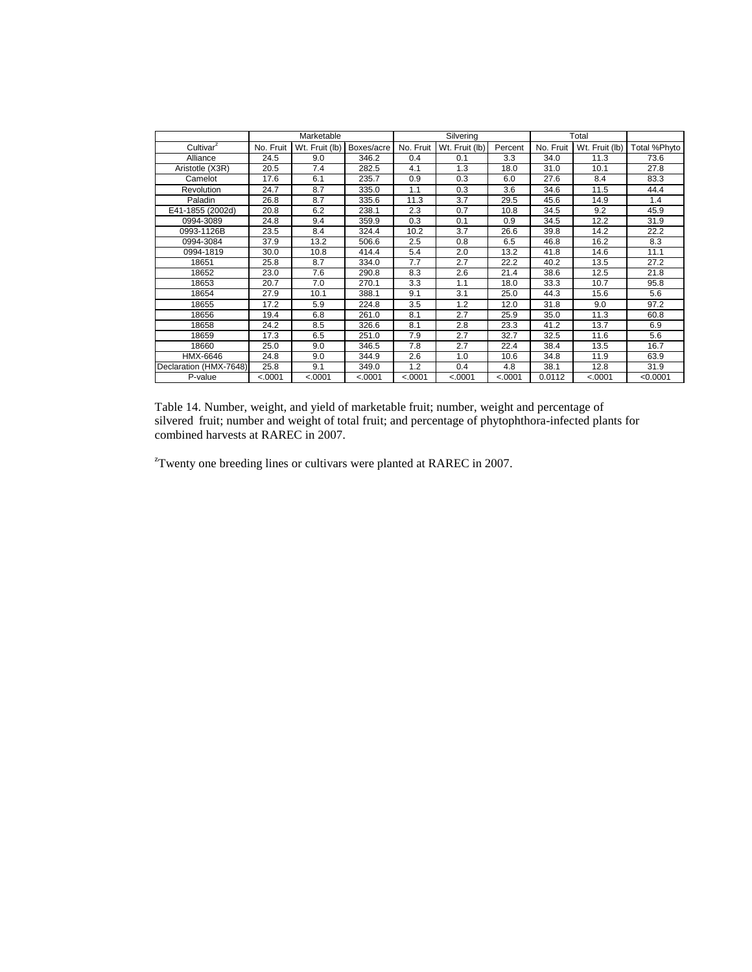|                        |              | Marketable     |            |           | Silvering      |         | Total     |                |              |  |
|------------------------|--------------|----------------|------------|-----------|----------------|---------|-----------|----------------|--------------|--|
| Cultivar <sup>z</sup>  | No. Fruit    | Wt. Fruit (lb) | Boxes/acre | No. Fruit | Wt. Fruit (lb) | Percent | No. Fruit | Wt. Fruit (lb) | Total %Phyto |  |
| Alliance               | 24.5         | 9.0            | 346.2      | 0.4       | 0.1            | 3.3     | 34.0      | 11.3           | 73.6         |  |
| Aristotle (X3R)        | 20.5         | 7.4            | 282.5      | 4.1       | 1.3            | 18.0    | 31.0      | 10.1           | 27.8         |  |
| Camelot                | 17.6         | 6.1            | 235.7      | 0.9       | 0.3            | 6.0     | 27.6      | 8.4            | 83.3         |  |
| <b>Revolution</b>      | 24.7         | 8.7            | 335.0      | 1.1       | 0.3            | 3.6     | 34.6      | 11.5           | 44.4         |  |
| Paladin                | 26.8         | 8.7            | 335.6      | 11.3      | 3.7            | 29.5    | 45.6      | 14.9           | 1.4          |  |
| E41-1855 (2002d)       | 20.8         | 6.2            | 238.1      | 2.3       | 0.7            | 10.8    | 34.5      | 9.2            | 45.9         |  |
| 0994-3089              | 24.8         | 9.4            | 359.9      | 0.3       | 0.1            | 0.9     | 34.5      | 12.2           | 31.9         |  |
| 0993-1126B             | 23.5         | 8.4            | 324.4      | 10.2      | 3.7            | 26.6    | 39.8      | 14.2           | 22.2         |  |
| 0994-3084              | 37.9         | 13.2           | 506.6      | 2.5       | 0.8            | 6.5     | 46.8      | 16.2           | 8.3          |  |
| 0994-1819              | 30.0         | 10.8           | 414.4      | 5.4       | 2.0            | 13.2    | 41.8      | 14.6           | 11.1         |  |
| 18651                  | 25.8         | 8.7            | 334.0      | 7.7       | 2.7            | 22.2    | 40.2      | 13.5           | 27.2         |  |
| 18652                  | 23.0         | 7.6            | 290.8      | 8.3       | 2.6            | 21.4    | 38.6      | 12.5           | 21.8         |  |
| 18653                  | 20.7         | 7.0            | 270.1      | 3.3       | 1.1            | 18.0    | 33.3      | 10.7           | 95.8         |  |
| 18654                  | 27.9<br>10.1 |                | 388.1      | 9.1       | 3.1            | 25.0    | 44.3      | 15.6           | 5.6          |  |
| 18655                  | 17.2         | 5.9            | 224.8      | 3.5       | 1.2            | 12.0    | 31.8      | 9.0            | 97.2         |  |
| 18656                  | 19.4         | 6.8            | 261.0      | 8.1       | 2.7            | 25.9    | 35.0      | 11.3           | 60.8         |  |
| 18658                  | 24.2         | 8.5            | 326.6      | 8.1       | 2.8            | 23.3    | 41.2      | 13.7           | 6.9          |  |
| 18659                  | 17.3         | 6.5            | 251.0      | 7.9       | 2.7            | 32.7    | 32.5      | 11.6           | 5.6          |  |
| 18660                  | 25.0         | 9.0            | 346.5      | 7.8       | 2.7            | 22.4    | 38.4      | 13.5           | 16.7         |  |
| HMX-6646               | 24.8         | 9.0            | 344.9      | 2.6       | 1.0            | 10.6    | 34.8      | 11.9           | 63.9         |  |
| Declaration (HMX-7648) | 25.8         | 9.1            | 349.0      | 1.2       | 0.4            | 4.8     | 38.1      | 12.8           | 31.9         |  |
| P-value                | < .0001      | < .0001        | < .0001    | < .0001   | < .0001        | < .0001 | 0.0112    | < .0001        | < 0.0001     |  |

Table 14. Number, weight, and yield of marketable fruit; number, weight and percentage of silvered fruit; number and weight of total fruit; and percentage of phytophthora-infected plants for combined harvests at RAREC in 2007.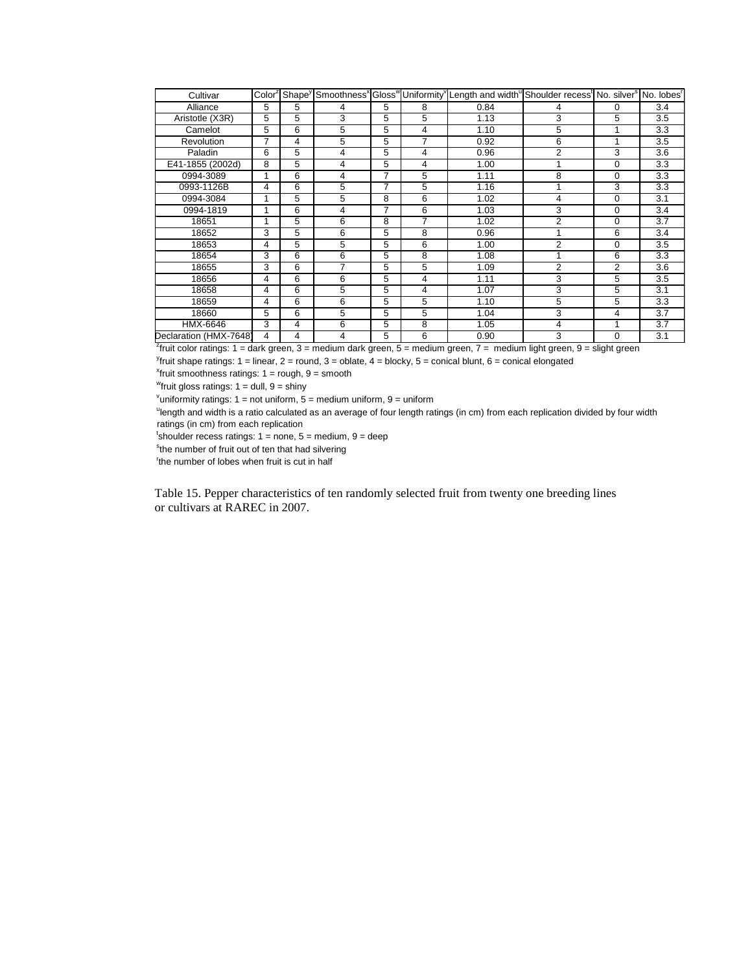| Cultivar               |   |   |   |                |   | Color <sup>z</sup> Shape <sup>y</sup> Smoothness <sup>x</sup> Gloss <sup>w</sup> Uniformity <sup>y</sup> Length and width Shoulder recess <sup>t</sup> No. silver <sup>s</sup> No. lobes <sup>r</sup> |                |                |                  |
|------------------------|---|---|---|----------------|---|-------------------------------------------------------------------------------------------------------------------------------------------------------------------------------------------------------|----------------|----------------|------------------|
| Alliance               | 5 | 5 | 4 | 5              | 8 | 0.84                                                                                                                                                                                                  | 4              | $\Omega$       | 3.4              |
| Aristotle (X3R)        | 5 | 5 | 3 | 5              | 5 | 1.13                                                                                                                                                                                                  | 3              | 5              | 3.5              |
| Camelot                | 5 | 6 | 5 | 5              | 4 | 1.10                                                                                                                                                                                                  | 5              | 1              | 3.3              |
| Revolution             | 7 | 4 | 5 | 5              | 7 | 0.92                                                                                                                                                                                                  | 6              | 1              | 3.5              |
| Paladin                | 6 | 5 | 4 | 5              | 4 | 0.96                                                                                                                                                                                                  | $\overline{2}$ | 3              | 3.6              |
| E41-1855 (2002d)       | 8 | 5 | 4 | 5              | 4 | 1.00                                                                                                                                                                                                  | 1              | $\Omega$       | 3.3              |
| 0994-3089              | 1 | 6 | 4 | 7              | 5 | 1.11                                                                                                                                                                                                  | 8              | 0              | 3.3              |
| 0993-1126B             | 4 | 6 | 5 | $\overline{7}$ | 5 | 1.16                                                                                                                                                                                                  |                | 3              | 3.3              |
| 0994-3084              | 1 | 5 | 5 | 8              | 6 | 1.02                                                                                                                                                                                                  | 4              | $\Omega$       | 3.1              |
| 0994-1819              | 1 | 6 | 4 | 7              | 6 | 1.03                                                                                                                                                                                                  | 3              | $\Omega$       | 3.4              |
| 18651                  | 1 | 5 | 6 | 8              | 7 | 1.02                                                                                                                                                                                                  | $\overline{2}$ | $\Omega$       | 3.7              |
| 18652                  | 3 | 5 | 6 | 5              | 8 | 0.96                                                                                                                                                                                                  |                | 6              | 3.4              |
| 18653                  | 4 | 5 | 5 | 5              | 6 | 1.00                                                                                                                                                                                                  | 2              | $\Omega$       | 3.5              |
| 18654                  | 3 | 6 | 6 | 5              | 8 | 1.08                                                                                                                                                                                                  |                | 6              | 3.3              |
| 18655                  | 3 | 6 | 7 | 5              | 5 | 1.09                                                                                                                                                                                                  | $\overline{2}$ | $\overline{2}$ | 3.6              |
| 18656                  | 4 | 6 | 6 | 5              | 4 | 1.11                                                                                                                                                                                                  | 3              | 5              | 3.5              |
| 18658                  | 4 | 6 | 5 | 5              | 4 | 1.07                                                                                                                                                                                                  | 3              | 5              | 3.1              |
| 18659                  | 4 | 6 | 6 | 5              | 5 | 1.10                                                                                                                                                                                                  | 5              | 5              | 3.3              |
| 18660                  | 5 | 6 | 5 | 5              | 5 | 1.04                                                                                                                                                                                                  | 3              | 4              | 3.7              |
| HMX-6646               | 3 | 4 | 6 | 5              | 8 | 1.05                                                                                                                                                                                                  | 4              | 1              | $\overline{3.7}$ |
| Declaration (HMX-7648) | 4 | 4 | 4 | 5              | 6 | 0.90                                                                                                                                                                                                  | 3              | $\Omega$       | 3.1              |

z fruit color ratings: 1 = dark green, 3 = medium dark green, 5 = medium green, 7 = medium light green, 9 = slight green

<sup>y</sup>fruit shape ratings: 1 = linear, 2 = round, 3 = oblate, 4 = blocky, 5 = conical blunt, 6 = conical elongated

 $x$ fruit smoothness ratings:  $1 =$  rough,  $9 =$  smooth

"fruit gloss ratings:  $1 =$  dull,  $9 =$  shiny

<sup>v</sup>uniformity ratings:  $1 = not$  uniform,  $5 =$  medium uniform,  $9 =$  uniform

<sup>u</sup>length and width is a ratio calculated as an average of four length ratings (in cm) from each replication divided by four width ratings (in cm) from each replication

 $t$ shoulder recess ratings: 1 = none, 5 = medium, 9 = deep

<sup>s</sup>the number of fruit out of ten that had silvering

<sup>r</sup>the number of lobes when fruit is cut in half

Table 15. Pepper characteristics of ten randomly selected fruit from twenty one breeding lines or cultivars at RAREC in 2007.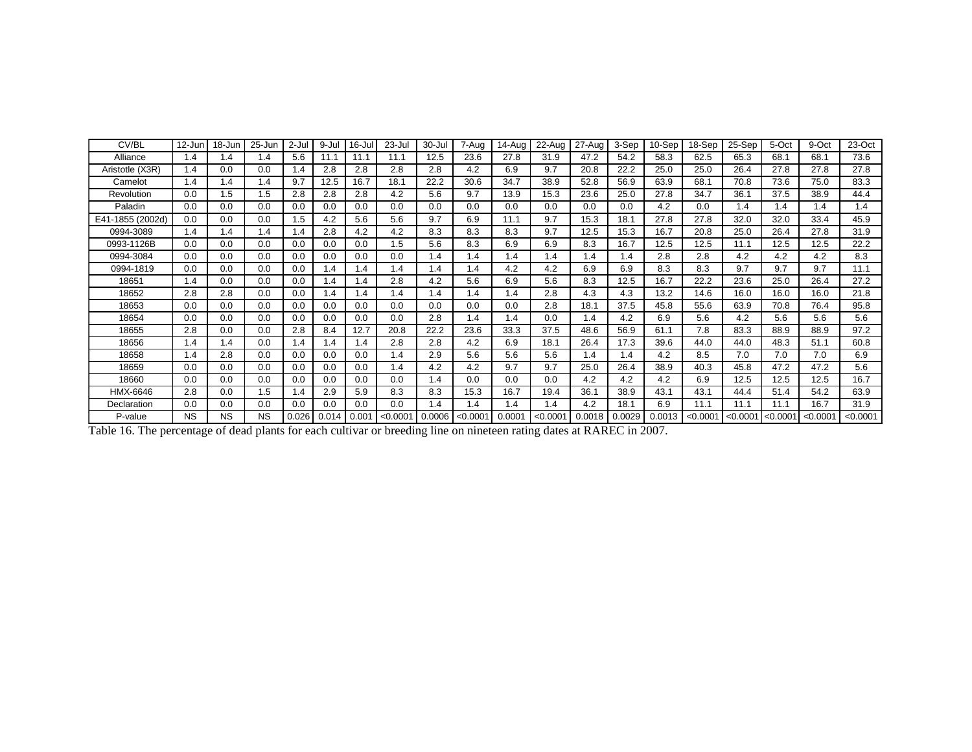| CV/BL            | 12-Jun    | 18-Jun    | 25-Jun    | 2-Jul | 9-Jul | 16-Jul | 23-Jul   | 30-Jul | 7-Aug    | 14-Aug | 22-Aug   | 27-Aug | 3-Sep  | 10-Sep | 18-Sep   | 25-Sep   | 5-Oct    | 9-Oct    | 23-Oct   |
|------------------|-----------|-----------|-----------|-------|-------|--------|----------|--------|----------|--------|----------|--------|--------|--------|----------|----------|----------|----------|----------|
| Alliance         | 1.4       | 1.4       | 1.4       | 5.6   | 11.1  | 11.1   | 11.1     | 12.5   | 23.6     | 27.8   | 31.9     | 47.2   | 54.2   | 58.3   | 62.5     | 65.3     | 68.1     | 68.1     | 73.6     |
| Aristotle (X3R)  | 1.4       | 0.0       | 0.0       | 1.4   | 2.8   | 2.8    | 2.8      | 2.8    | 4.2      | 6.9    | 9.7      | 20.8   | 22.2   | 25.0   | 25.0     | 26.4     | 27.8     | 27.8     | 27.8     |
| Camelot          | 1.4       | 1.4       | 1.4       | 9.7   | 12.5  | 16.7   | 18.1     | 22.2   | 30.6     | 34.7   | 38.9     | 52.8   | 56.9   | 63.9   | 68.1     | 70.8     | 73.6     | 75.0     | 83.3     |
| Revolution       | 0.0       | 1.5       | 1.5       | 2.8   | 2.8   | 2.8    | 4.2      | 5.6    | 9.7      | 13.9   | 15.3     | 23.6   | 25.0   | 27.8   | 34.7     | 36.1     | 37.5     | 38.9     | 44.4     |
| Paladin          | 0.0       | 0.0       | 0.0       | 0.0   | 0.0   | 0.0    | 0.0      | 0.0    | 0.0      | 0.0    | 0.0      | 0.0    | 0.0    | 4.2    | 0.0      | 1.4      | 1.4      | 1.4      | 1.4      |
| E41-1855 (2002d) | 0.0       | 0.0       | 0.0       | 1.5   | 4.2   | 5.6    | 5.6      | 9.7    | 6.9      | 11.1   | 9.7      | 15.3   | 18.1   | 27.8   | 27.8     | 32.0     | 32.0     | 33.4     | 45.9     |
| 0994-3089        | 1.4       | 1.4       | 1.4       | 1.4   | 2.8   | 4.2    | 4.2      | 8.3    | 8.3      | 8.3    | 9.7      | 12.5   | 15.3   | 16.7   | 20.8     | 25.0     | 26.4     | 27.8     | 31.9     |
| 0993-1126B       | 0.0       | 0.0       | 0.0       | 0.0   | 0.0   | 0.0    | 1.5      | 5.6    | 8.3      | 6.9    | 6.9      | 8.3    | 16.7   | 12.5   | 12.5     | 11.1     | 12.5     | 12.5     | 22.2     |
| 0994-3084        | 0.0       | 0.0       | 0.0       | 0.0   | 0.0   | 0.0    | 0.0      | 1.4    | 1.4      | 1.4    | 1.4      | 1.4    | 1.4    | 2.8    | 2.8      | 4.2      | 4.2      | 4.2      | 8.3      |
| 0994-1819        | 0.0       | 0.0       | 0.0       | 0.0   | 1.4   | 1.4    | 1.4      | 1.4    | 1.4      | 4.2    | 4.2      | 6.9    | 6.9    | 8.3    | 8.3      | 9.7      | 9.7      | 9.7      | 11.1     |
| 18651            | 1.4       | 0.0       | 0.0       | 0.0   | 1.4   | 1.4    | 2.8      | 4.2    | 5.6      | 6.9    | 5.6      | 8.3    | 12.5   | 16.7   | 22.2     | 23.6     | 25.0     | 26.4     | 27.2     |
| 18652            | 2.8       | 2.8       | 0.0       | 0.0   | 1.4   | 1.4    | 1.4      | 1.4    | 1.4      | 1.4    | 2.8      | 4.3    | 4.3    | 13.2   | 14.6     | 16.0     | 16.0     | 16.0     | 21.8     |
| 18653            | 0.0       | 0.0       | 0.0       | 0.0   | 0.0   | 0.0    | 0.0      | 0.0    | 0.0      | 0.0    | 2.8      | 18.1   | 37.5   | 45.8   | 55.6     | 63.9     | 70.8     | 76.4     | 95.8     |
| 18654            | 0.0       | 0.0       | 0.0       | 0.0   | 0.0   | 0.0    | 0.0      | 2.8    | 1.4      | 1.4    | 0.0      | 1.4    | 4.2    | 6.9    | 5.6      | 4.2      | 5.6      | 5.6      | 5.6      |
| 18655            | 2.8       | 0.0       | 0.0       | 2.8   | 8.4   | 12.7   | 20.8     | 22.2   | 23.6     | 33.3   | 37.5     | 48.6   | 56.9   | 61.1   | 7.8      | 83.3     | 88.9     | 88.9     | 97.2     |
| 18656            | 1.4       | 1.4       | 0.0       | 1.4   | 1.4   | 1.4    | 2.8      | 2.8    | 4.2      | 6.9    | 18.1     | 26.4   | 17.3   | 39.6   | 44.0     | 44.0     | 48.3     | 51.1     | 60.8     |
| 18658            | 1.4       | 2.8       | 0.0       | 0.0   | 0.0   | 0.0    | 1.4      | 2.9    | 5.6      | 5.6    | 5.6      | 1.4    | 1.4    | 4.2    | 8.5      | 7.0      | 7.0      | 7.0      | 6.9      |
| 18659            | 0.0       | 0.0       | 0.0       | 0.0   | 0.0   | 0.0    | 1.4      | 4.2    | 4.2      | 9.7    | 9.7      | 25.0   | 26.4   | 38.9   | 40.3     | 45.8     | 47.2     | 47.2     | 5.6      |
| 18660            | 0.0       | 0.0       | 0.0       | 0.0   | 0.0   | 0.0    | 0.0      | 1.4    | 0.0      | 0.0    | 0.0      | 4.2    | 4.2    | 4.2    | 6.9      | 12.5     | 12.5     | 12.5     | 16.7     |
| HMX-6646         | 2.8       | 0.0       | 1.5       | 1.4   | 2.9   | 5.9    | 8.3      | 8.3    | 15.3     | 16.7   | 19.4     | 36.1   | 38.9   | 43.1   | 43.1     | 44.4     | 51.4     | 54.2     | 63.9     |
| Declaration      | 0.0       | 0.0       | 0.0       | 0.0   | 0.0   | 0.0    | 0.0      | 1.4    | 1.4      | 1.4    | 1.4      | 4.2    | 18.1   | 6.9    | 11.1     | 11.1     | 11.1     | 16.7     | 31.9     |
| P-value          | <b>NS</b> | <b>NS</b> | <b>NS</b> | 0.026 | 0.014 | 0.001  | < 0.0001 | 0.0006 | < 0.0001 | 0.0001 | < 0.0001 | 0.0018 | 0.0029 | 0.0013 | < 0.0001 | < 0.0001 | < 0.0001 | < 0.0001 | < 0.0001 |

Table 16. The percentage of dead plants for each cultivar or breeding line on nineteen rating dates at RAREC in 2007.